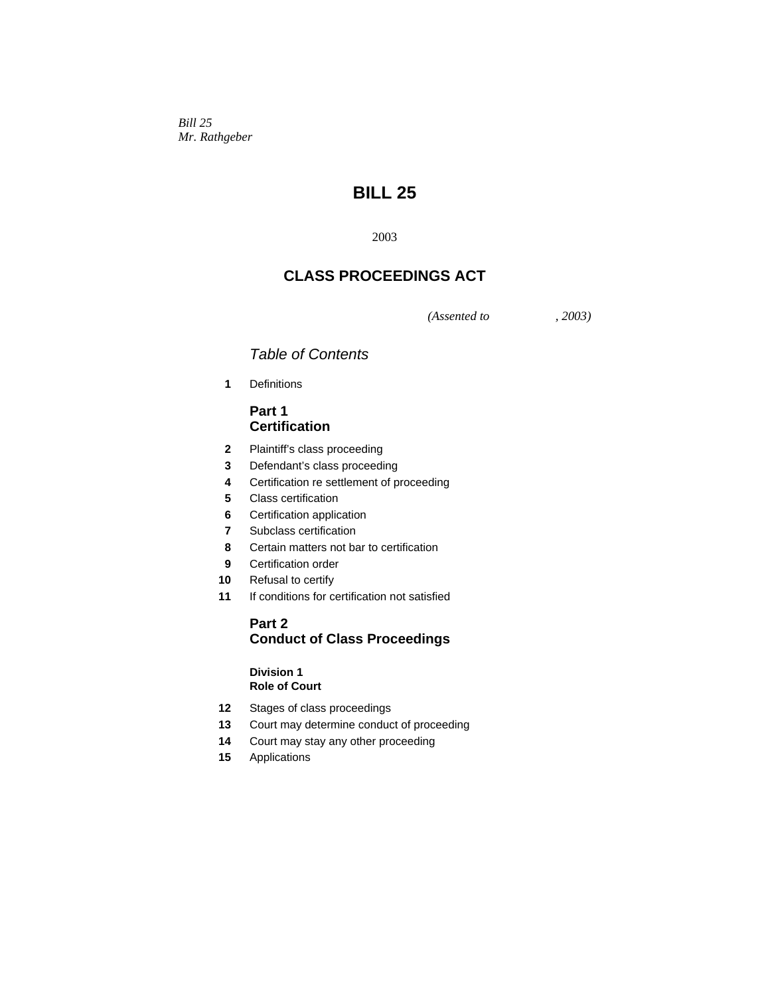*Bill 25 Mr. Rathgeber* 

# **BILL 25**

2003

## **CLASS PROCEEDINGS ACT**

*(Assented to , 2003)* 

## *Table of Contents*

**1** Definitions

## **Part 1 Certification**

- **2** Plaintiff's class proceeding
- **3** Defendant's class proceeding
- **4** Certification re settlement of proceeding
- **5** Class certification
- **6** Certification application
- **7** Subclass certification
- **8** Certain matters not bar to certification
- **9** Certification order
- **10** Refusal to certify
- **11** If conditions for certification not satisfied

## **Part 2 Conduct of Class Proceedings**

## **Division 1 Role of Court**

- **12** Stages of class proceedings
- **13** Court may determine conduct of proceeding
- **14** Court may stay any other proceeding
- **15** Applications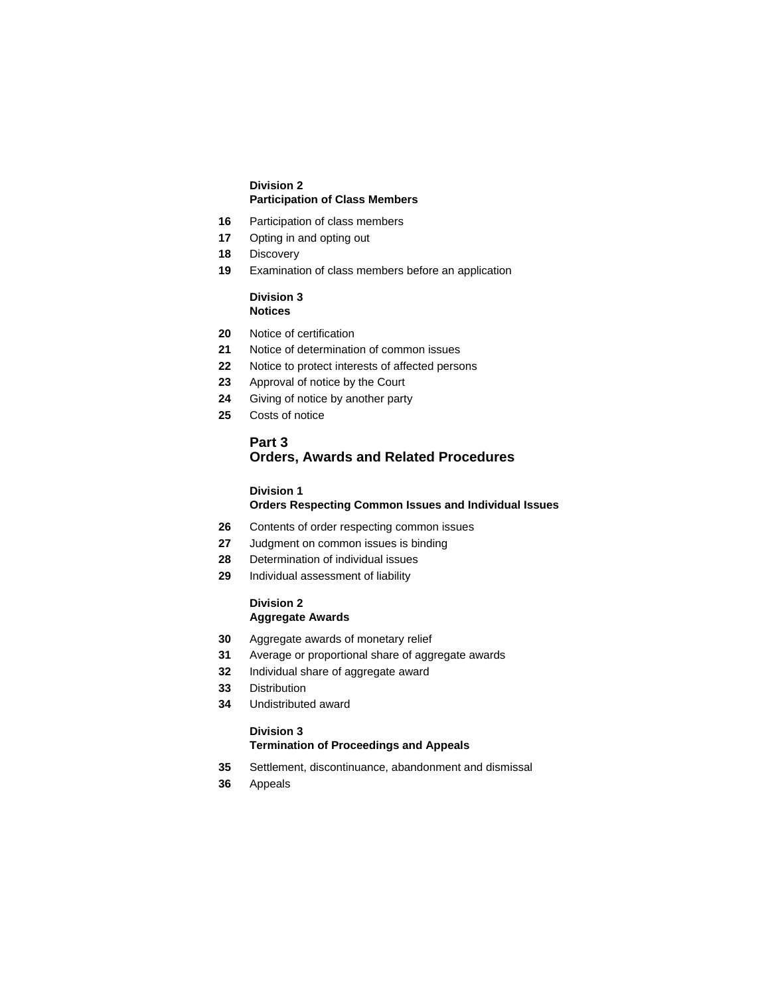## **Division 2 Participation of Class Members**

- Participation of class members
- Opting in and opting out
- Discovery
- Examination of class members before an application

## **Division 3 Notices**

- Notice of certification
- Notice of determination of common issues
- Notice to protect interests of affected persons
- Approval of notice by the Court
- Giving of notice by another party
- Costs of notice

## **Part 3 Orders, Awards and Related Procedures**

## **Division 1**

## **Orders Respecting Common Issues and Individual Issues**

- Contents of order respecting common issues
- Judgment on common issues is binding
- Determination of individual issues
- Individual assessment of liability

#### **Division 2 Aggregate Awards**

- 
- Aggregate awards of monetary relief
- Average or proportional share of aggregate awards
- Individual share of aggregate award
- Distribution
- Undistributed award

#### **Division 3 Termination of Proceedings and Appeals**

- Settlement, discontinuance, abandonment and dismissal
- Appeals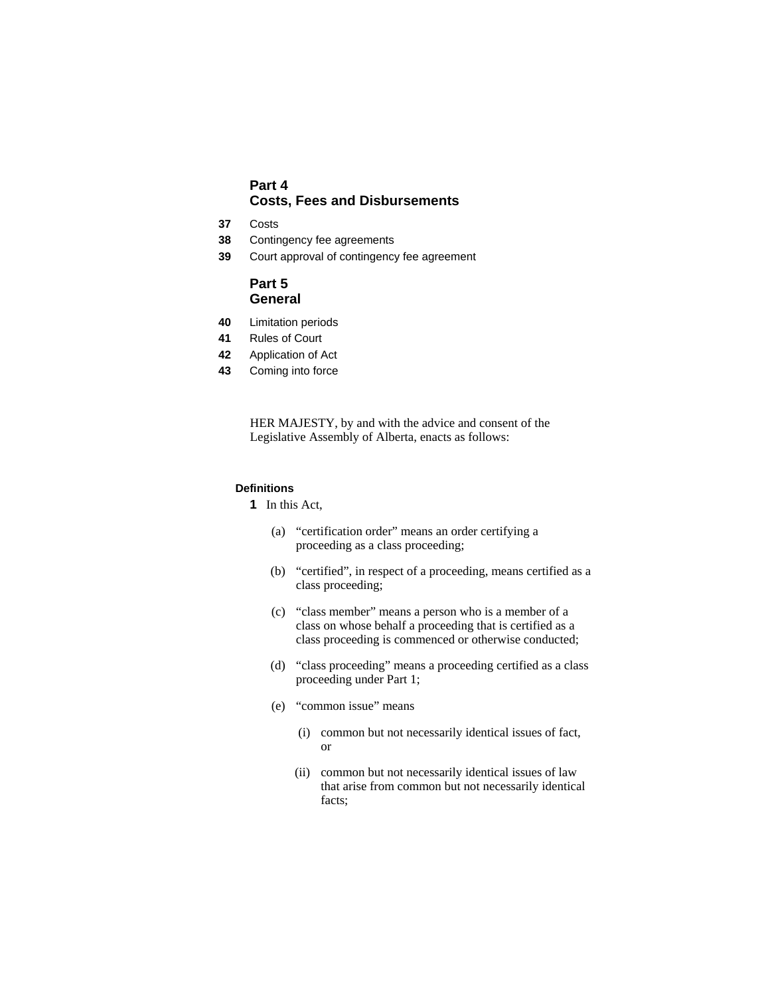## **Part 4 Costs, Fees and Disbursements**

- **37** Costs
- **38** Contingency fee agreements
- **39** Court approval of contingency fee agreement

## **Part 5 General**

- **40** Limitation periods
- **41** Rules of Court
- **42** Application of Act
- **43** Coming into force

HER MAJESTY, by and with the advice and consent of the Legislative Assembly of Alberta, enacts as follows:

## **Definitions**

**1** In this Act,

- (a) "certification order" means an order certifying a proceeding as a class proceeding;
- (b) "certified", in respect of a proceeding, means certified as a class proceeding;
- (c) "class member" means a person who is a member of a class on whose behalf a proceeding that is certified as a class proceeding is commenced or otherwise conducted;
- (d) "class proceeding" means a proceeding certified as a class proceeding under Part 1;
- (e) "common issue" means
	- (i) common but not necessarily identical issues of fact, or
	- (ii) common but not necessarily identical issues of law that arise from common but not necessarily identical facts;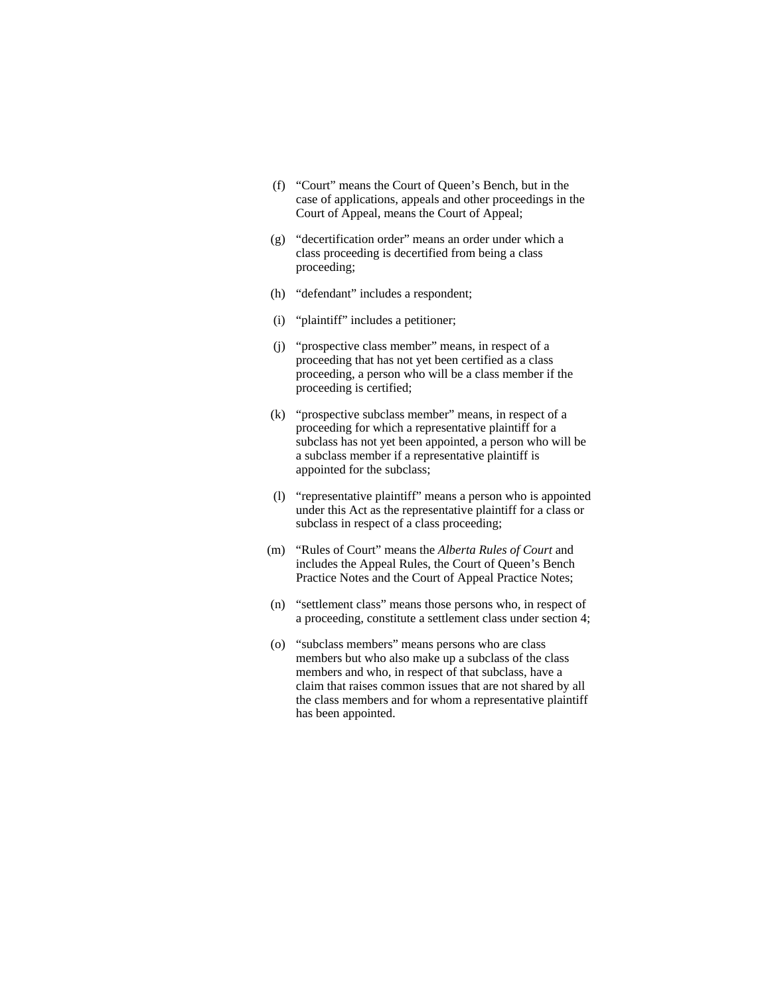- (f) "Court" means the Court of Queen's Bench, but in the case of applications, appeals and other proceedings in the Court of Appeal, means the Court of Appeal;
- (g) "decertification order" means an order under which a class proceeding is decertified from being a class proceeding;
- (h) "defendant" includes a respondent;
- (i) "plaintiff" includes a petitioner;
- (j) "prospective class member" means, in respect of a proceeding that has not yet been certified as a class proceeding, a person who will be a class member if the proceeding is certified;
- (k) "prospective subclass member" means, in respect of a proceeding for which a representative plaintiff for a subclass has not yet been appointed, a person who will be a subclass member if a representative plaintiff is appointed for the subclass;
- (l) "representative plaintiff" means a person who is appointed under this Act as the representative plaintiff for a class or subclass in respect of a class proceeding;
- (m) "Rules of Court" means the *Alberta Rules of Court* and includes the Appeal Rules, the Court of Queen's Bench Practice Notes and the Court of Appeal Practice Notes;
- (n) "settlement class" means those persons who, in respect of a proceeding, constitute a settlement class under section 4;
- (o) "subclass members" means persons who are class members but who also make up a subclass of the class members and who, in respect of that subclass, have a claim that raises common issues that are not shared by all the class members and for whom a representative plaintiff has been appointed.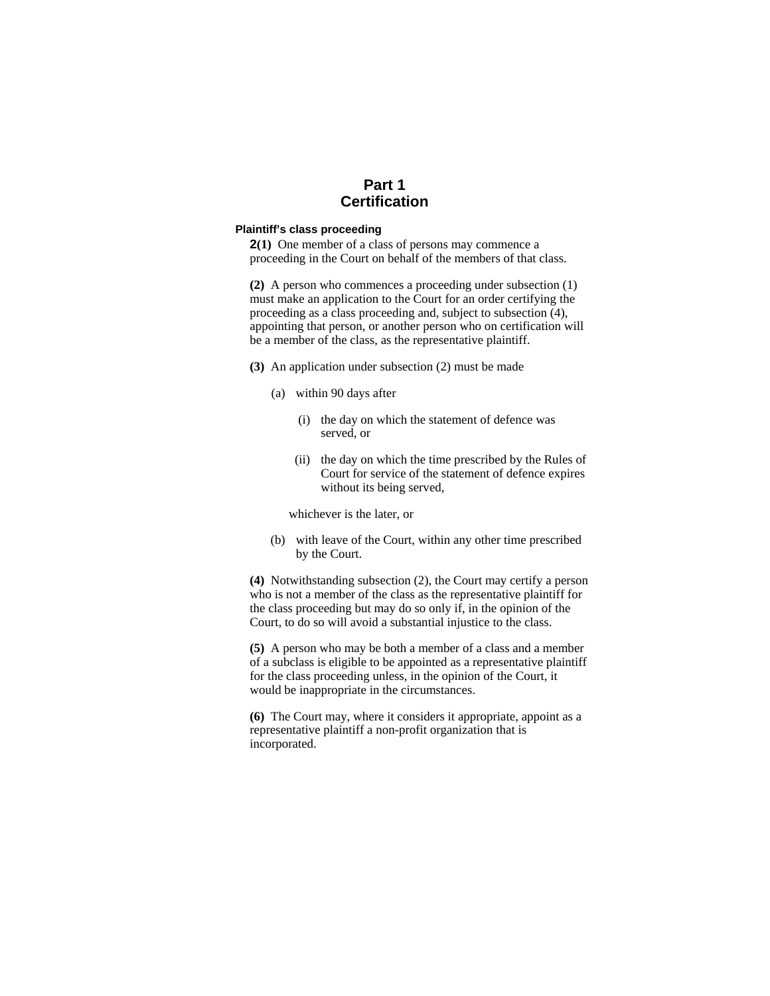## **Part 1 Certification**

## **Plaintiff's class proceeding**

**2(1)** One member of a class of persons may commence a proceeding in the Court on behalf of the members of that class.

**(2)** A person who commences a proceeding under subsection (1) must make an application to the Court for an order certifying the proceeding as a class proceeding and, subject to subsection (4), appointing that person, or another person who on certification will be a member of the class, as the representative plaintiff.

- **(3)** An application under subsection (2) must be made
	- (a) within 90 days after
		- (i) the day on which the statement of defence was served, or
		- (ii) the day on which the time prescribed by the Rules of Court for service of the statement of defence expires without its being served,

whichever is the later, or

(b) with leave of the Court, within any other time prescribed by the Court.

**(4)** Notwithstanding subsection (2), the Court may certify a person who is not a member of the class as the representative plaintiff for the class proceeding but may do so only if, in the opinion of the Court, to do so will avoid a substantial injustice to the class.

**(5)** A person who may be both a member of a class and a member of a subclass is eligible to be appointed as a representative plaintiff for the class proceeding unless, in the opinion of the Court, it would be inappropriate in the circumstances.

**(6)** The Court may, where it considers it appropriate, appoint as a representative plaintiff a non-profit organization that is incorporated.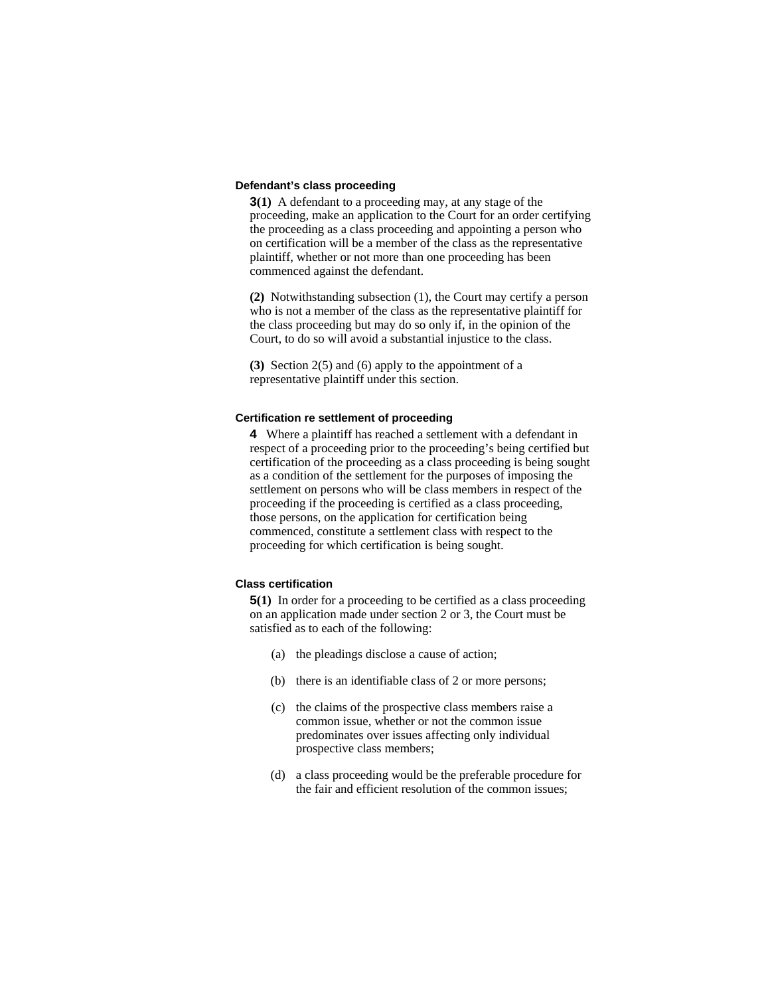## **Defendant's class proceeding**

**3(1)** A defendant to a proceeding may, at any stage of the proceeding, make an application to the Court for an order certifying the proceeding as a class proceeding and appointing a person who on certification will be a member of the class as the representative plaintiff, whether or not more than one proceeding has been commenced against the defendant.

**(2)** Notwithstanding subsection (1), the Court may certify a person who is not a member of the class as the representative plaintiff for the class proceeding but may do so only if, in the opinion of the Court, to do so will avoid a substantial injustice to the class.

**(3)** Section 2(5) and (6) apply to the appointment of a representative plaintiff under this section.

#### **Certification re settlement of proceeding**

**4** Where a plaintiff has reached a settlement with a defendant in respect of a proceeding prior to the proceeding's being certified but certification of the proceeding as a class proceeding is being sought as a condition of the settlement for the purposes of imposing the settlement on persons who will be class members in respect of the proceeding if the proceeding is certified as a class proceeding, those persons, on the application for certification being commenced, constitute a settlement class with respect to the proceeding for which certification is being sought.

#### **Class certification**

**5(1)** In order for a proceeding to be certified as a class proceeding on an application made under section 2 or 3, the Court must be satisfied as to each of the following:

- (a) the pleadings disclose a cause of action;
- (b) there is an identifiable class of 2 or more persons;
- (c) the claims of the prospective class members raise a common issue, whether or not the common issue predominates over issues affecting only individual prospective class members;
- (d) a class proceeding would be the preferable procedure for the fair and efficient resolution of the common issues;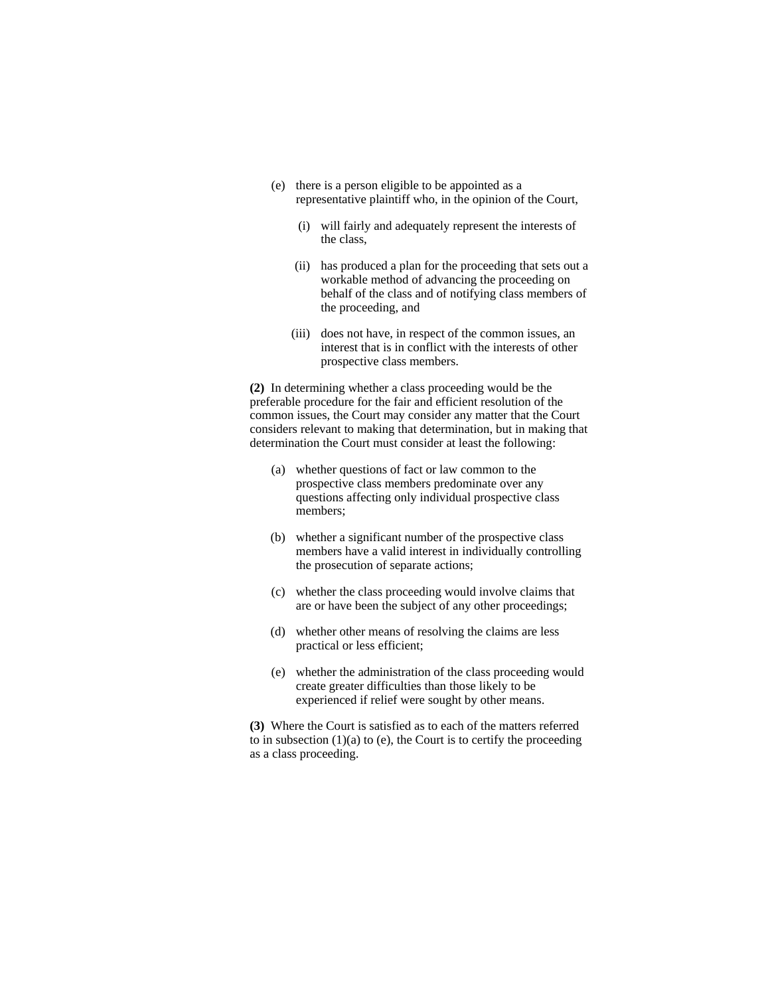- (e) there is a person eligible to be appointed as a representative plaintiff who, in the opinion of the Court,
	- (i) will fairly and adequately represent the interests of the class,
	- (ii) has produced a plan for the proceeding that sets out a workable method of advancing the proceeding on behalf of the class and of notifying class members of the proceeding, and
	- (iii) does not have, in respect of the common issues, an interest that is in conflict with the interests of other prospective class members.

**(2)** In determining whether a class proceeding would be the preferable procedure for the fair and efficient resolution of the common issues, the Court may consider any matter that the Court considers relevant to making that determination, but in making that determination the Court must consider at least the following:

- (a) whether questions of fact or law common to the prospective class members predominate over any questions affecting only individual prospective class members;
- (b) whether a significant number of the prospective class members have a valid interest in individually controlling the prosecution of separate actions;
- (c) whether the class proceeding would involve claims that are or have been the subject of any other proceedings;
- (d) whether other means of resolving the claims are less practical or less efficient;
- (e) whether the administration of the class proceeding would create greater difficulties than those likely to be experienced if relief were sought by other means.

**(3)** Where the Court is satisfied as to each of the matters referred to in subsection  $(1)(a)$  to  $(e)$ , the Court is to certify the proceeding as a class proceeding.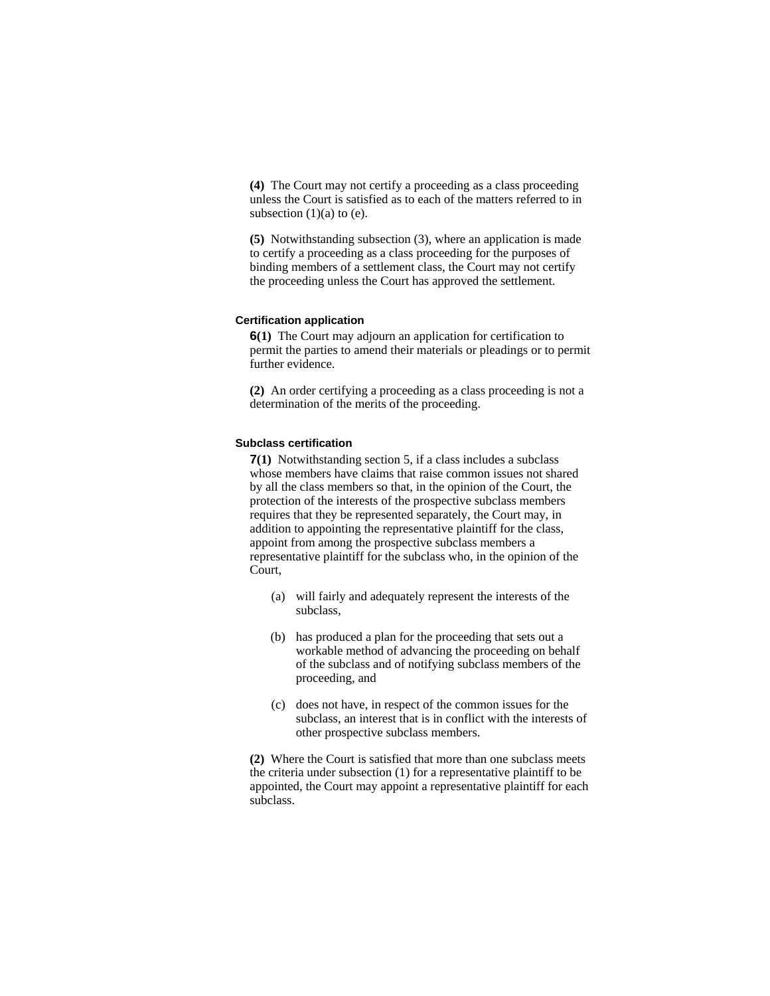**(4)** The Court may not certify a proceeding as a class proceeding unless the Court is satisfied as to each of the matters referred to in subsection  $(1)(a)$  to  $(e)$ .

**(5)** Notwithstanding subsection (3), where an application is made to certify a proceeding as a class proceeding for the purposes of binding members of a settlement class, the Court may not certify the proceeding unless the Court has approved the settlement.

#### **Certification application**

**6(1)** The Court may adjourn an application for certification to permit the parties to amend their materials or pleadings or to permit further evidence.

**(2)** An order certifying a proceeding as a class proceeding is not a determination of the merits of the proceeding.

## **Subclass certification**

**7(1)** Notwithstanding section 5, if a class includes a subclass whose members have claims that raise common issues not shared by all the class members so that, in the opinion of the Court, the protection of the interests of the prospective subclass members requires that they be represented separately, the Court may, in addition to appointing the representative plaintiff for the class, appoint from among the prospective subclass members a representative plaintiff for the subclass who, in the opinion of the Court,

- (a) will fairly and adequately represent the interests of the subclass,
- (b) has produced a plan for the proceeding that sets out a workable method of advancing the proceeding on behalf of the subclass and of notifying subclass members of the proceeding, and
- (c) does not have, in respect of the common issues for the subclass, an interest that is in conflict with the interests of other prospective subclass members.

**(2)** Where the Court is satisfied that more than one subclass meets the criteria under subsection (1) for a representative plaintiff to be appointed, the Court may appoint a representative plaintiff for each subclass.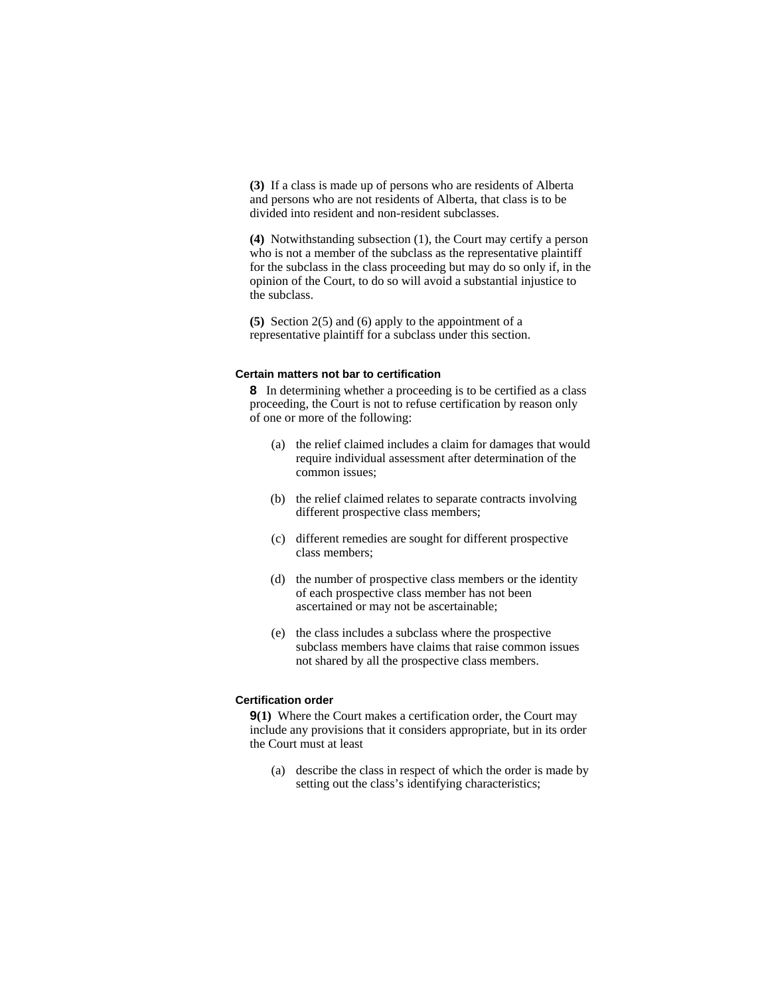**(3)** If a class is made up of persons who are residents of Alberta and persons who are not residents of Alberta, that class is to be divided into resident and non-resident subclasses.

**(4)** Notwithstanding subsection (1), the Court may certify a person who is not a member of the subclass as the representative plaintiff for the subclass in the class proceeding but may do so only if, in the opinion of the Court, to do so will avoid a substantial injustice to the subclass.

**(5)** Section 2(5) and (6) apply to the appointment of a representative plaintiff for a subclass under this section.

#### **Certain matters not bar to certification**

**8** In determining whether a proceeding is to be certified as a class proceeding, the Court is not to refuse certification by reason only of one or more of the following:

- (a) the relief claimed includes a claim for damages that would require individual assessment after determination of the common issues;
- (b) the relief claimed relates to separate contracts involving different prospective class members;
- (c) different remedies are sought for different prospective class members;
- (d) the number of prospective class members or the identity of each prospective class member has not been ascertained or may not be ascertainable;
- (e) the class includes a subclass where the prospective subclass members have claims that raise common issues not shared by all the prospective class members.

## **Certification order**

**9(1)** Where the Court makes a certification order, the Court may include any provisions that it considers appropriate, but in its order the Court must at least

 (a) describe the class in respect of which the order is made by setting out the class's identifying characteristics;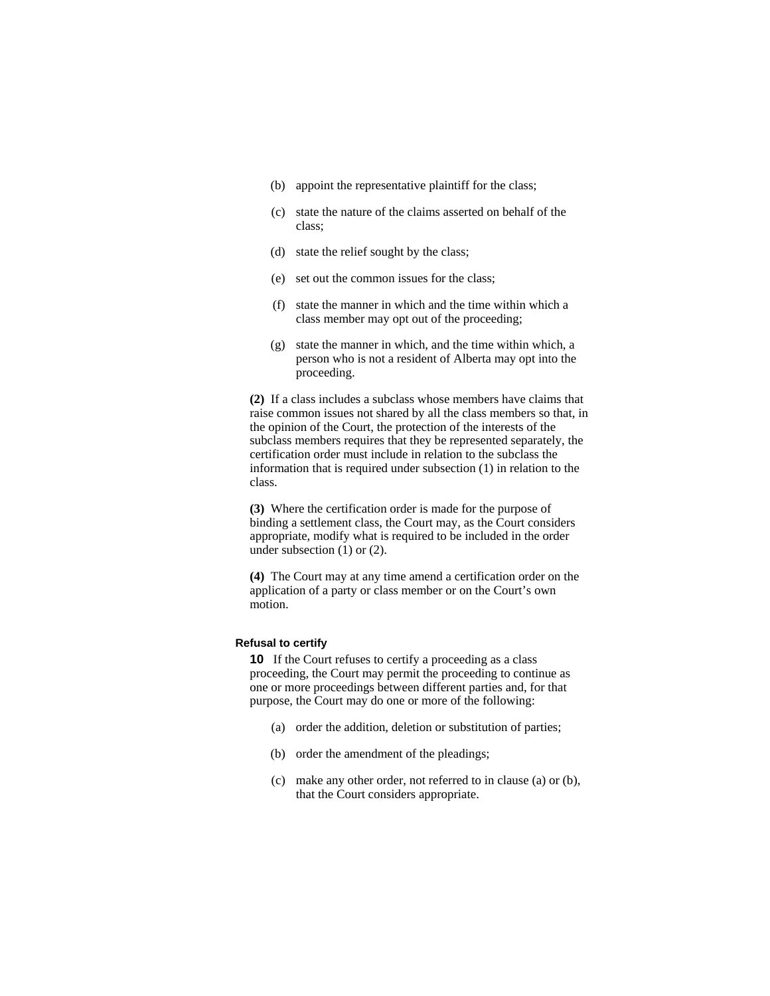- (b) appoint the representative plaintiff for the class;
- (c) state the nature of the claims asserted on behalf of the class;
- (d) state the relief sought by the class;
- (e) set out the common issues for the class;
- (f) state the manner in which and the time within which a class member may opt out of the proceeding;
- (g) state the manner in which, and the time within which, a person who is not a resident of Alberta may opt into the proceeding.

**(2)** If a class includes a subclass whose members have claims that raise common issues not shared by all the class members so that, in the opinion of the Court, the protection of the interests of the subclass members requires that they be represented separately, the certification order must include in relation to the subclass the information that is required under subsection (1) in relation to the class.

**(3)** Where the certification order is made for the purpose of binding a settlement class, the Court may, as the Court considers appropriate, modify what is required to be included in the order under subsection (1) or (2).

**(4)** The Court may at any time amend a certification order on the application of a party or class member or on the Court's own motion.

## **Refusal to certify**

**10** If the Court refuses to certify a proceeding as a class proceeding, the Court may permit the proceeding to continue as one or more proceedings between different parties and, for that purpose, the Court may do one or more of the following:

- (a) order the addition, deletion or substitution of parties;
- (b) order the amendment of the pleadings;
- (c) make any other order, not referred to in clause (a) or (b), that the Court considers appropriate.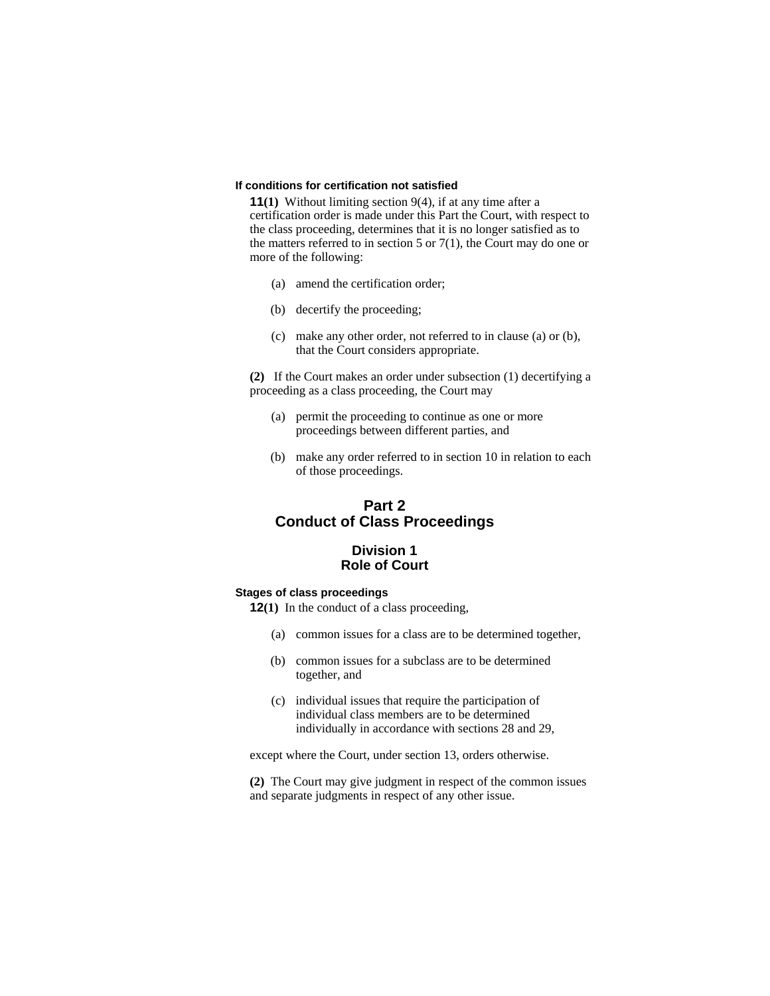#### **If conditions for certification not satisfied**

**11(1)** Without limiting section 9(4), if at any time after a certification order is made under this Part the Court, with respect to the class proceeding, determines that it is no longer satisfied as to the matters referred to in section 5 or  $7(1)$ , the Court may do one or more of the following:

- (a) amend the certification order;
- (b) decertify the proceeding;
- (c) make any other order, not referred to in clause (a) or (b), that the Court considers appropriate.

**(2)** If the Court makes an order under subsection (1) decertifying a proceeding as a class proceeding, the Court may

- (a) permit the proceeding to continue as one or more proceedings between different parties, and
- (b) make any order referred to in section 10 in relation to each of those proceedings.

## **Part 2 Conduct of Class Proceedings**

## **Division 1 Role of Court**

#### **Stages of class proceedings**

**12(1)** In the conduct of a class proceeding,

- (a) common issues for a class are to be determined together,
- (b) common issues for a subclass are to be determined together, and
- (c) individual issues that require the participation of individual class members are to be determined individually in accordance with sections 28 and 29,

except where the Court, under section 13, orders otherwise.

**(2)** The Court may give judgment in respect of the common issues and separate judgments in respect of any other issue.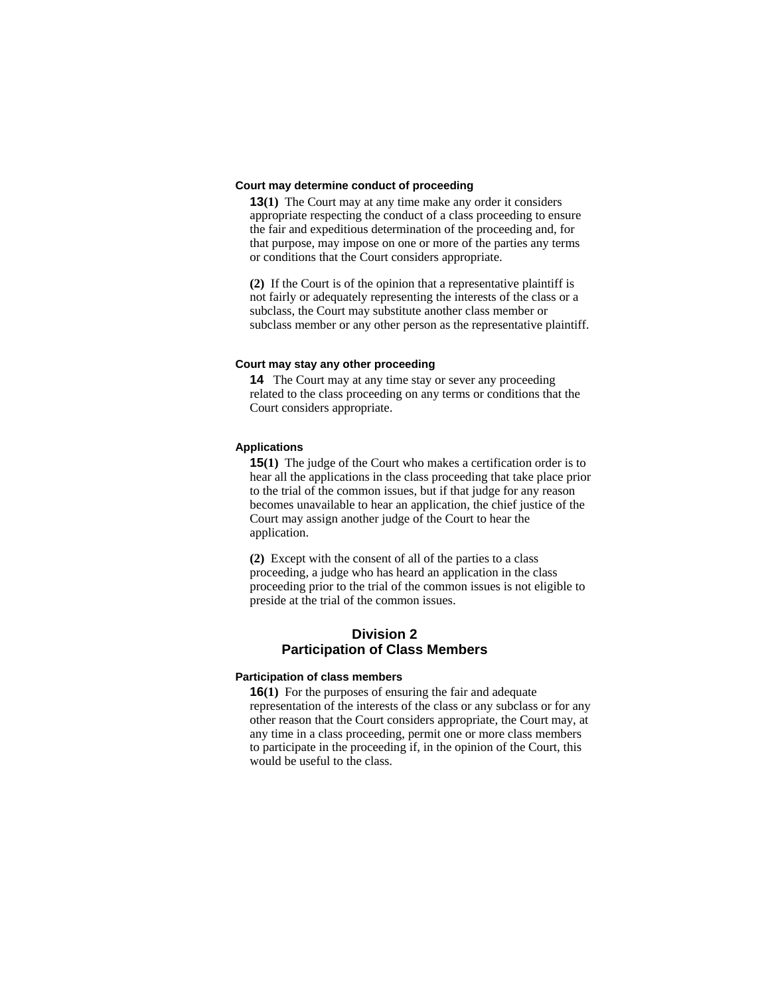#### **Court may determine conduct of proceeding**

**13(1)** The Court may at any time make any order it considers appropriate respecting the conduct of a class proceeding to ensure the fair and expeditious determination of the proceeding and, for that purpose, may impose on one or more of the parties any terms or conditions that the Court considers appropriate.

**(2)** If the Court is of the opinion that a representative plaintiff is not fairly or adequately representing the interests of the class or a subclass, the Court may substitute another class member or subclass member or any other person as the representative plaintiff.

#### **Court may stay any other proceeding**

**14** The Court may at any time stay or sever any proceeding related to the class proceeding on any terms or conditions that the Court considers appropriate.

#### **Applications**

**15(1)** The judge of the Court who makes a certification order is to hear all the applications in the class proceeding that take place prior to the trial of the common issues, but if that judge for any reason becomes unavailable to hear an application, the chief justice of the Court may assign another judge of the Court to hear the application.

**(2)** Except with the consent of all of the parties to a class proceeding, a judge who has heard an application in the class proceeding prior to the trial of the common issues is not eligible to preside at the trial of the common issues.

## **Division 2 Participation of Class Members**

#### **Participation of class members**

**16(1)** For the purposes of ensuring the fair and adequate representation of the interests of the class or any subclass or for any other reason that the Court considers appropriate, the Court may, at any time in a class proceeding, permit one or more class members to participate in the proceeding if, in the opinion of the Court, this would be useful to the class.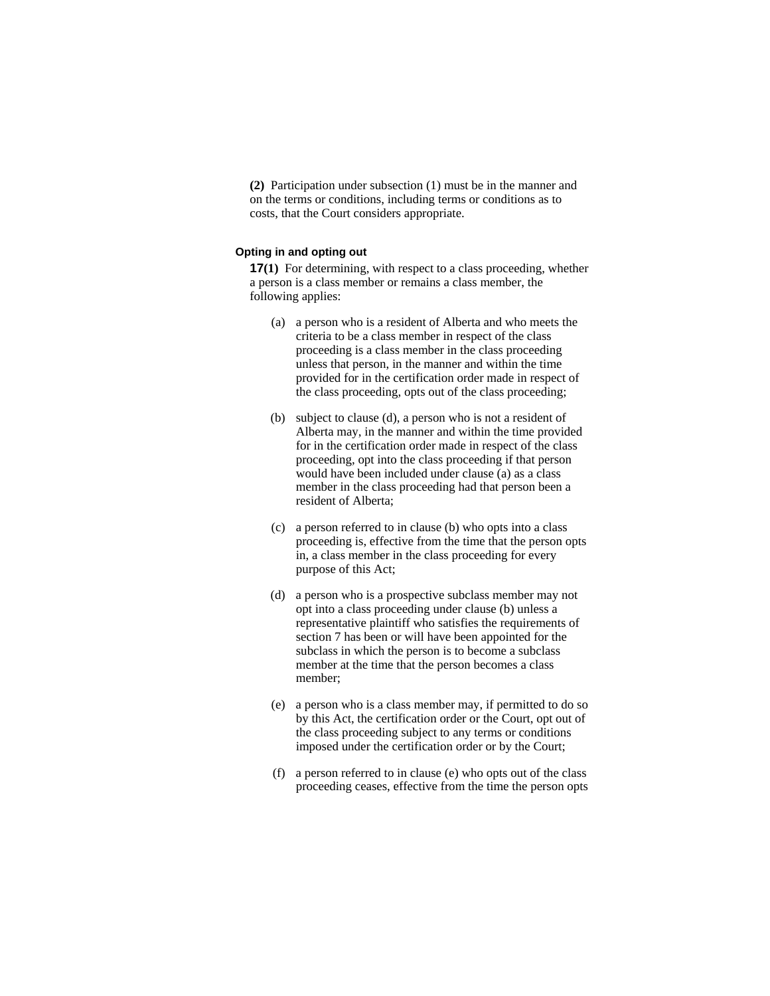**(2)** Participation under subsection (1) must be in the manner and on the terms or conditions, including terms or conditions as to costs, that the Court considers appropriate.

## **Opting in and opting out**

**17(1)** For determining, with respect to a class proceeding, whether a person is a class member or remains a class member, the following applies:

- (a) a person who is a resident of Alberta and who meets the criteria to be a class member in respect of the class proceeding is a class member in the class proceeding unless that person, in the manner and within the time provided for in the certification order made in respect of the class proceeding, opts out of the class proceeding;
- (b) subject to clause (d), a person who is not a resident of Alberta may, in the manner and within the time provided for in the certification order made in respect of the class proceeding, opt into the class proceeding if that person would have been included under clause (a) as a class member in the class proceeding had that person been a resident of Alberta;
- (c) a person referred to in clause (b) who opts into a class proceeding is, effective from the time that the person opts in, a class member in the class proceeding for every purpose of this Act;
- (d) a person who is a prospective subclass member may not opt into a class proceeding under clause (b) unless a representative plaintiff who satisfies the requirements of section 7 has been or will have been appointed for the subclass in which the person is to become a subclass member at the time that the person becomes a class member;
- (e) a person who is a class member may, if permitted to do so by this Act, the certification order or the Court, opt out of the class proceeding subject to any terms or conditions imposed under the certification order or by the Court;
- (f) a person referred to in clause (e) who opts out of the class proceeding ceases, effective from the time the person opts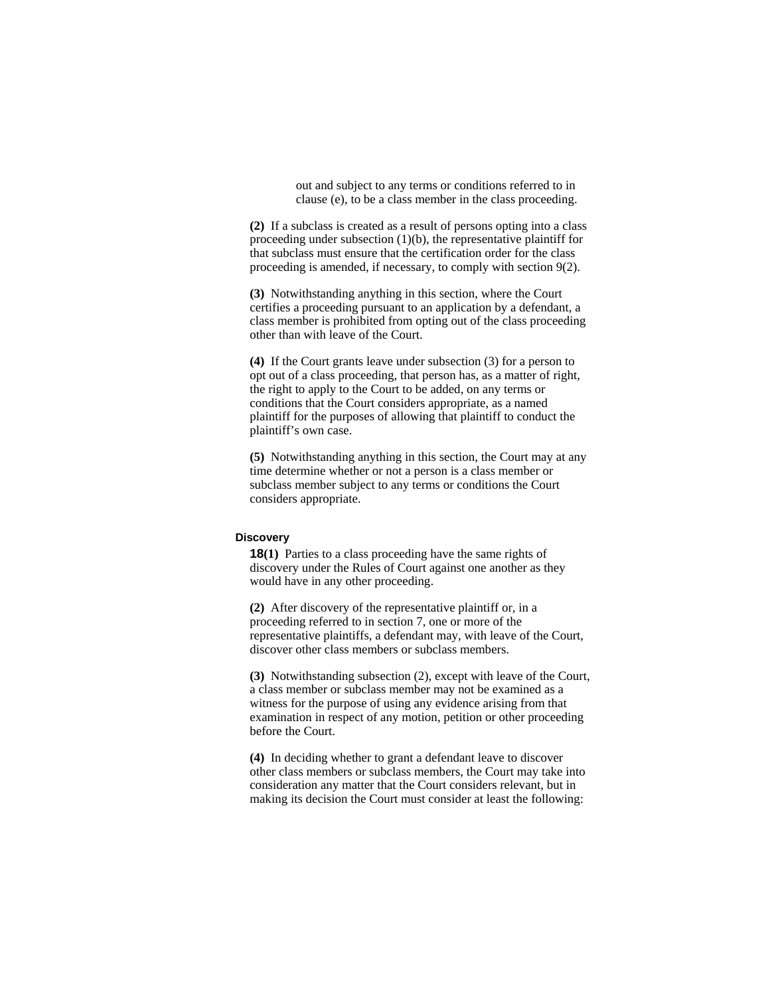out and subject to any terms or conditions referred to in clause (e), to be a class member in the class proceeding.

**(2)** If a subclass is created as a result of persons opting into a class proceeding under subsection (1)(b), the representative plaintiff for that subclass must ensure that the certification order for the class proceeding is amended, if necessary, to comply with section 9(2).

**(3)** Notwithstanding anything in this section, where the Court certifies a proceeding pursuant to an application by a defendant, a class member is prohibited from opting out of the class proceeding other than with leave of the Court.

**(4)** If the Court grants leave under subsection (3) for a person to opt out of a class proceeding, that person has, as a matter of right, the right to apply to the Court to be added, on any terms or conditions that the Court considers appropriate, as a named plaintiff for the purposes of allowing that plaintiff to conduct the plaintiff's own case.

**(5)** Notwithstanding anything in this section, the Court may at any time determine whether or not a person is a class member or subclass member subject to any terms or conditions the Court considers appropriate.

### **Discovery**

**18(1)** Parties to a class proceeding have the same rights of discovery under the Rules of Court against one another as they would have in any other proceeding.

**(2)** After discovery of the representative plaintiff or, in a proceeding referred to in section 7, one or more of the representative plaintiffs, a defendant may, with leave of the Court, discover other class members or subclass members.

**(3)** Notwithstanding subsection (2), except with leave of the Court, a class member or subclass member may not be examined as a witness for the purpose of using any evidence arising from that examination in respect of any motion, petition or other proceeding before the Court.

**(4)** In deciding whether to grant a defendant leave to discover other class members or subclass members, the Court may take into consideration any matter that the Court considers relevant, but in making its decision the Court must consider at least the following: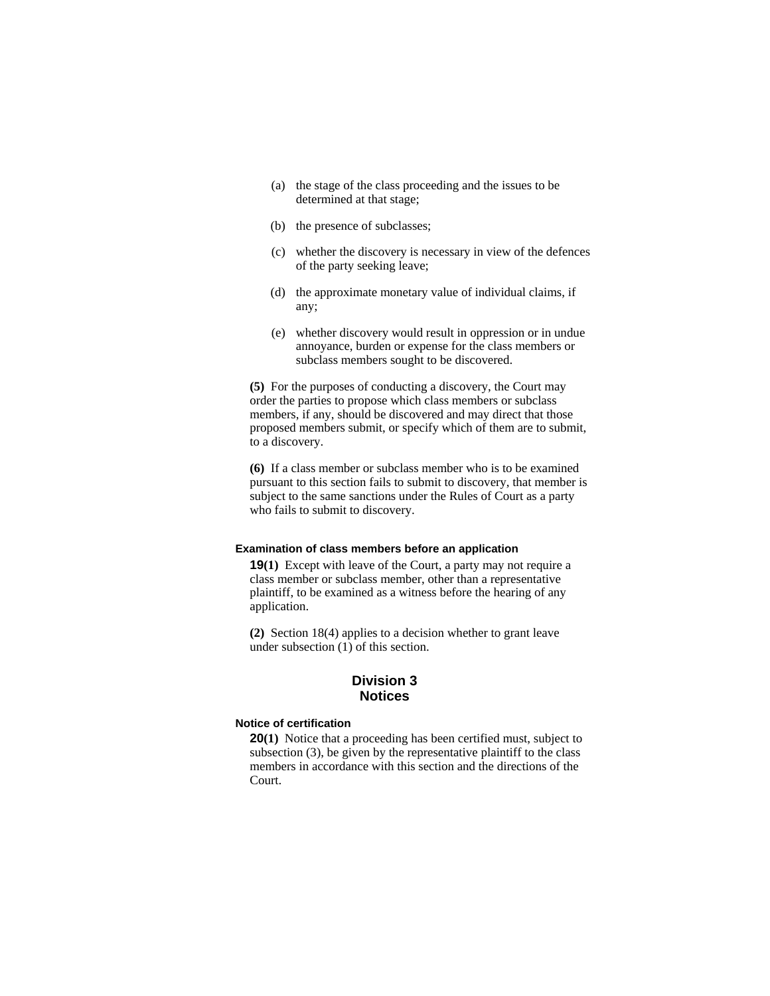- (a) the stage of the class proceeding and the issues to be determined at that stage;
- (b) the presence of subclasses;
- (c) whether the discovery is necessary in view of the defences of the party seeking leave;
- (d) the approximate monetary value of individual claims, if any;
- (e) whether discovery would result in oppression or in undue annoyance, burden or expense for the class members or subclass members sought to be discovered.

**(5)** For the purposes of conducting a discovery, the Court may order the parties to propose which class members or subclass members, if any, should be discovered and may direct that those proposed members submit, or specify which of them are to submit, to a discovery.

**(6)** If a class member or subclass member who is to be examined pursuant to this section fails to submit to discovery, that member is subject to the same sanctions under the Rules of Court as a party who fails to submit to discovery.

#### **Examination of class members before an application**

**19(1)** Except with leave of the Court, a party may not require a class member or subclass member, other than a representative plaintiff, to be examined as a witness before the hearing of any application.

**(2)** Section 18(4) applies to a decision whether to grant leave under subsection (1) of this section.

## **Division 3 Notices**

#### **Notice of certification**

**20(1)** Notice that a proceeding has been certified must, subject to subsection (3), be given by the representative plaintiff to the class members in accordance with this section and the directions of the Court.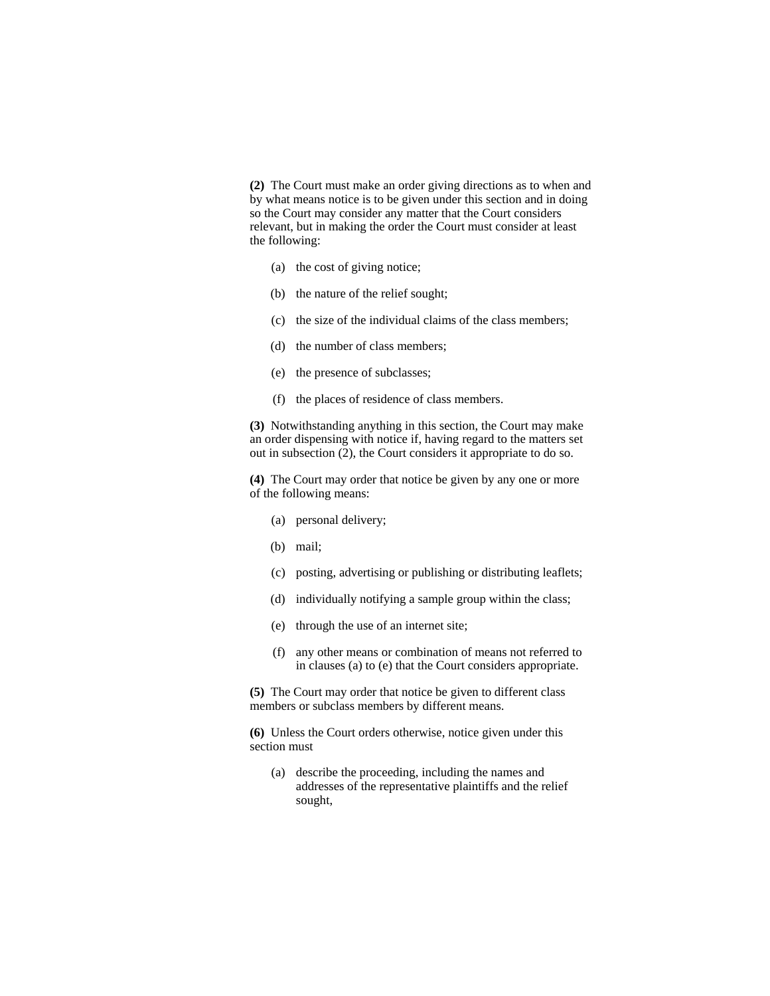**(2)** The Court must make an order giving directions as to when and by what means notice is to be given under this section and in doing so the Court may consider any matter that the Court considers relevant, but in making the order the Court must consider at least the following:

- (a) the cost of giving notice;
- (b) the nature of the relief sought;
- (c) the size of the individual claims of the class members;
- (d) the number of class members;
- (e) the presence of subclasses;
- (f) the places of residence of class members.

**(3)** Notwithstanding anything in this section, the Court may make an order dispensing with notice if, having regard to the matters set out in subsection (2), the Court considers it appropriate to do so.

**(4)** The Court may order that notice be given by any one or more of the following means:

- (a) personal delivery;
- (b) mail;
- (c) posting, advertising or publishing or distributing leaflets;
- (d) individually notifying a sample group within the class;
- (e) through the use of an internet site;
- (f) any other means or combination of means not referred to in clauses (a) to (e) that the Court considers appropriate.

**(5)** The Court may order that notice be given to different class members or subclass members by different means.

**(6)** Unless the Court orders otherwise, notice given under this section must

(a) describe the proceeding, including the names and addresses of the representative plaintiffs and the relief sought,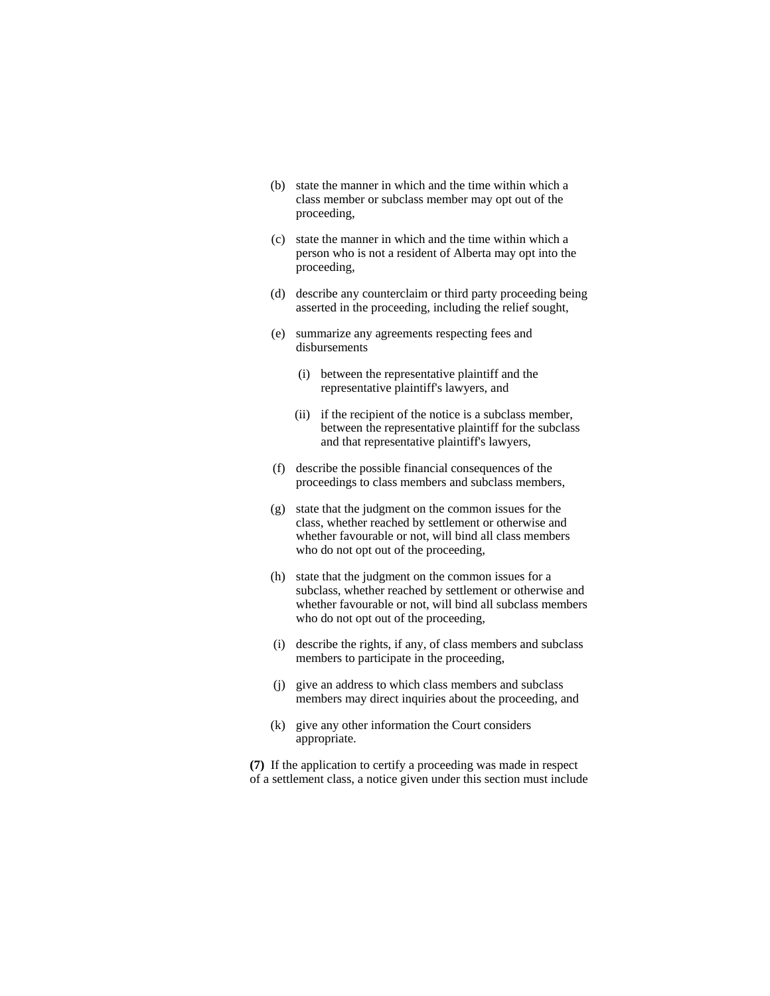- (b) state the manner in which and the time within which a class member or subclass member may opt out of the proceeding,
- (c) state the manner in which and the time within which a person who is not a resident of Alberta may opt into the proceeding,
- (d) describe any counterclaim or third party proceeding being asserted in the proceeding, including the relief sought,
- (e) summarize any agreements respecting fees and disbursements
	- (i) between the representative plaintiff and the representative plaintiff's lawyers, and
	- (ii) if the recipient of the notice is a subclass member, between the representative plaintiff for the subclass and that representative plaintiff's lawyers,
- (f) describe the possible financial consequences of the proceedings to class members and subclass members,
- (g) state that the judgment on the common issues for the class, whether reached by settlement or otherwise and whether favourable or not, will bind all class members who do not opt out of the proceeding,
- (h) state that the judgment on the common issues for a subclass, whether reached by settlement or otherwise and whether favourable or not, will bind all subclass members who do not opt out of the proceeding,
- (i) describe the rights, if any, of class members and subclass members to participate in the proceeding,
- (j) give an address to which class members and subclass members may direct inquiries about the proceeding, and
- (k) give any other information the Court considers appropriate.

**(7)** If the application to certify a proceeding was made in respect of a settlement class, a notice given under this section must include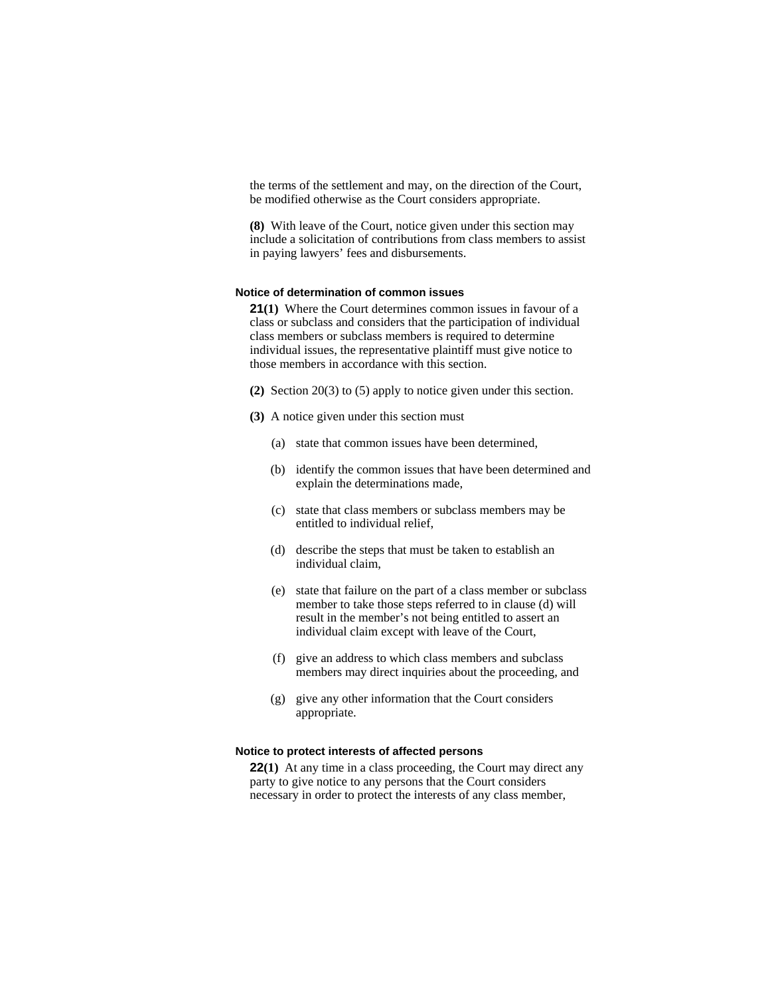the terms of the settlement and may, on the direction of the Court, be modified otherwise as the Court considers appropriate.

**(8)** With leave of the Court, notice given under this section may include a solicitation of contributions from class members to assist in paying lawyers' fees and disbursements.

#### **Notice of determination of common issues**

**21(1)** Where the Court determines common issues in favour of a class or subclass and considers that the participation of individual class members or subclass members is required to determine individual issues, the representative plaintiff must give notice to those members in accordance with this section.

- **(2)** Section 20(3) to (5) apply to notice given under this section.
- **(3)** A notice given under this section must
	- (a) state that common issues have been determined,
	- (b) identify the common issues that have been determined and explain the determinations made,
	- (c) state that class members or subclass members may be entitled to individual relief,
	- (d) describe the steps that must be taken to establish an individual claim,
	- (e) state that failure on the part of a class member or subclass member to take those steps referred to in clause (d) will result in the member's not being entitled to assert an individual claim except with leave of the Court,
	- (f) give an address to which class members and subclass members may direct inquiries about the proceeding, and
	- (g) give any other information that the Court considers appropriate.

#### **Notice to protect interests of affected persons**

**22(1)** At any time in a class proceeding, the Court may direct any party to give notice to any persons that the Court considers necessary in order to protect the interests of any class member,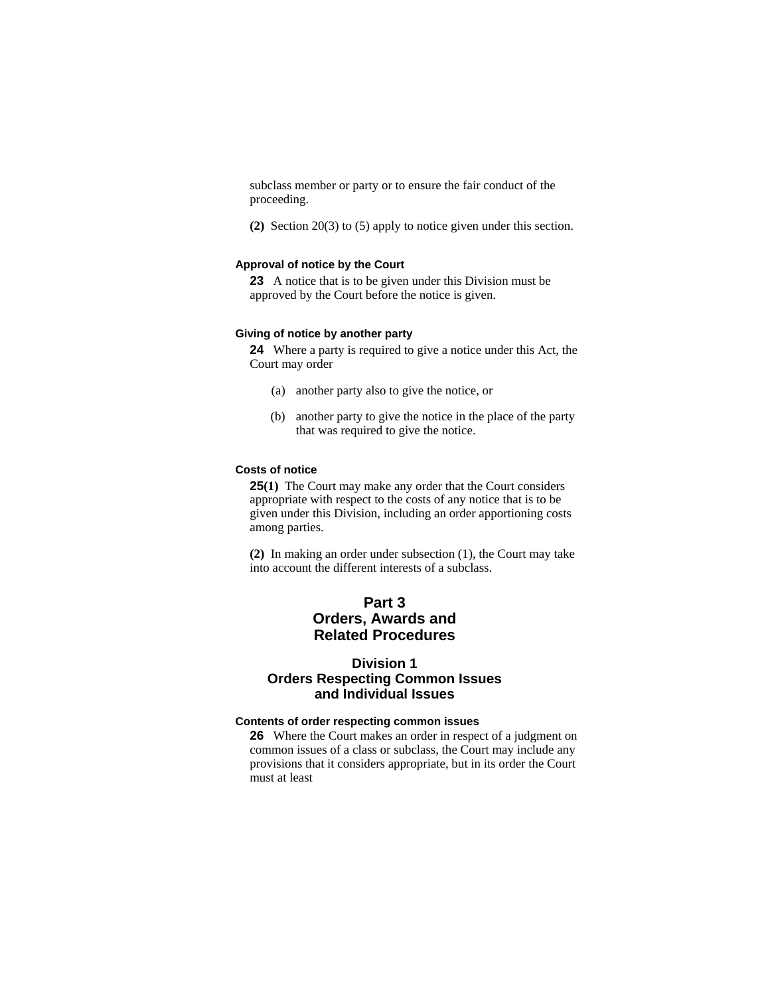subclass member or party or to ensure the fair conduct of the proceeding.

**(2)** Section 20(3) to (5) apply to notice given under this section.

#### **Approval of notice by the Court**

**23** A notice that is to be given under this Division must be approved by the Court before the notice is given.

## **Giving of notice by another party**

**24** Where a party is required to give a notice under this Act, the Court may order

- (a) another party also to give the notice, or
- (b) another party to give the notice in the place of the party that was required to give the notice.

## **Costs of notice**

**25(1)** The Court may make any order that the Court considers appropriate with respect to the costs of any notice that is to be given under this Division, including an order apportioning costs among parties.

**(2)** In making an order under subsection (1), the Court may take into account the different interests of a subclass.

## **Part 3 Orders, Awards and Related Procedures**

## **Division 1 Orders Respecting Common Issues and Individual Issues**

## **Contents of order respecting common issues**

**26** Where the Court makes an order in respect of a judgment on common issues of a class or subclass, the Court may include any provisions that it considers appropriate, but in its order the Court must at least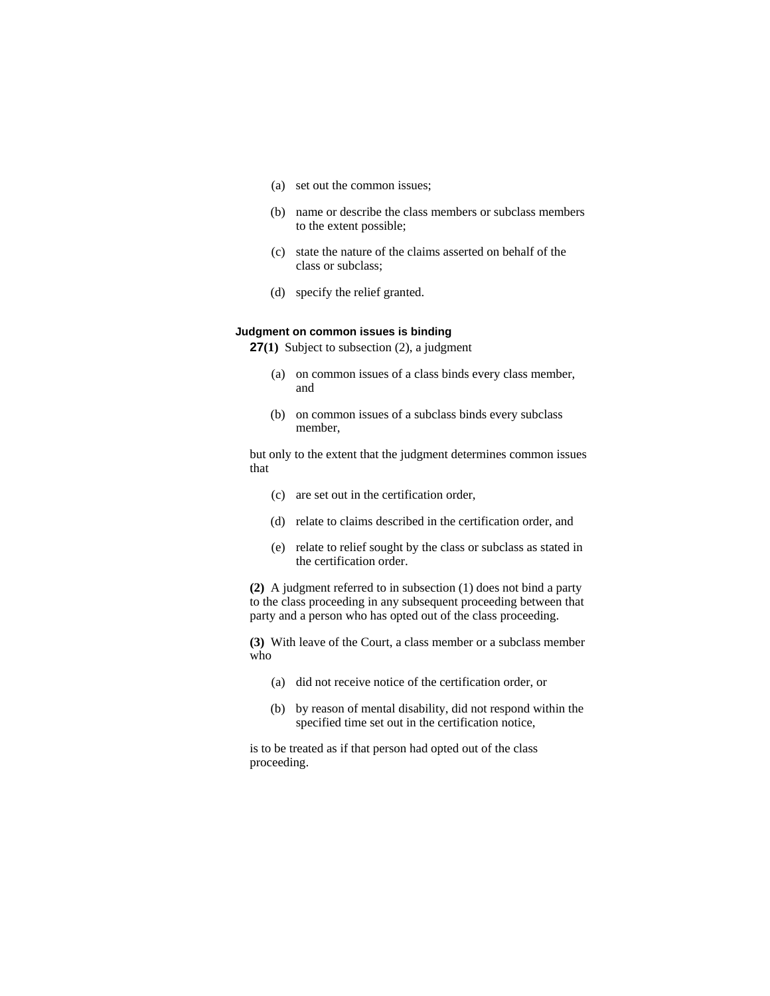- (a) set out the common issues;
- (b) name or describe the class members or subclass members to the extent possible;
- (c) state the nature of the claims asserted on behalf of the class or subclass;
- (d) specify the relief granted.

## **Judgment on common issues is binding**

**27(1)** Subject to subsection (2), a judgment

- (a) on common issues of a class binds every class member, and
- (b) on common issues of a subclass binds every subclass member,

but only to the extent that the judgment determines common issues that

- (c) are set out in the certification order,
- (d) relate to claims described in the certification order, and
- (e) relate to relief sought by the class or subclass as stated in the certification order.

**(2)** A judgment referred to in subsection (1) does not bind a party to the class proceeding in any subsequent proceeding between that party and a person who has opted out of the class proceeding.

**(3)** With leave of the Court, a class member or a subclass member who

- (a) did not receive notice of the certification order, or
- (b) by reason of mental disability, did not respond within the specified time set out in the certification notice,

is to be treated as if that person had opted out of the class proceeding.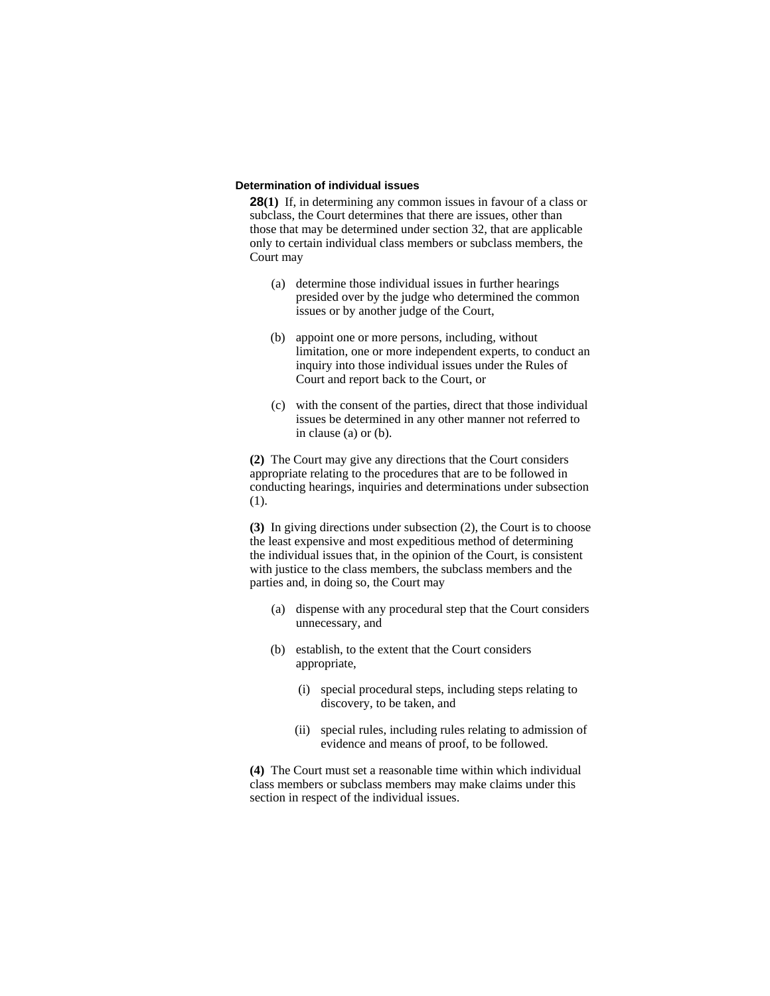### **Determination of individual issues**

**28(1)** If, in determining any common issues in favour of a class or subclass, the Court determines that there are issues, other than those that may be determined under section 32, that are applicable only to certain individual class members or subclass members, the Court may

- (a) determine those individual issues in further hearings presided over by the judge who determined the common issues or by another judge of the Court,
- (b) appoint one or more persons, including, without limitation, one or more independent experts, to conduct an inquiry into those individual issues under the Rules of Court and report back to the Court, or
- (c) with the consent of the parties, direct that those individual issues be determined in any other manner not referred to in clause (a) or (b).

**(2)** The Court may give any directions that the Court considers appropriate relating to the procedures that are to be followed in conducting hearings, inquiries and determinations under subsection (1).

**(3)** In giving directions under subsection (2), the Court is to choose the least expensive and most expeditious method of determining the individual issues that, in the opinion of the Court, is consistent with justice to the class members, the subclass members and the parties and, in doing so, the Court may

- (a) dispense with any procedural step that the Court considers unnecessary, and
- (b) establish, to the extent that the Court considers appropriate,
	- (i) special procedural steps, including steps relating to discovery, to be taken, and
	- (ii) special rules, including rules relating to admission of evidence and means of proof, to be followed.

**(4)** The Court must set a reasonable time within which individual class members or subclass members may make claims under this section in respect of the individual issues.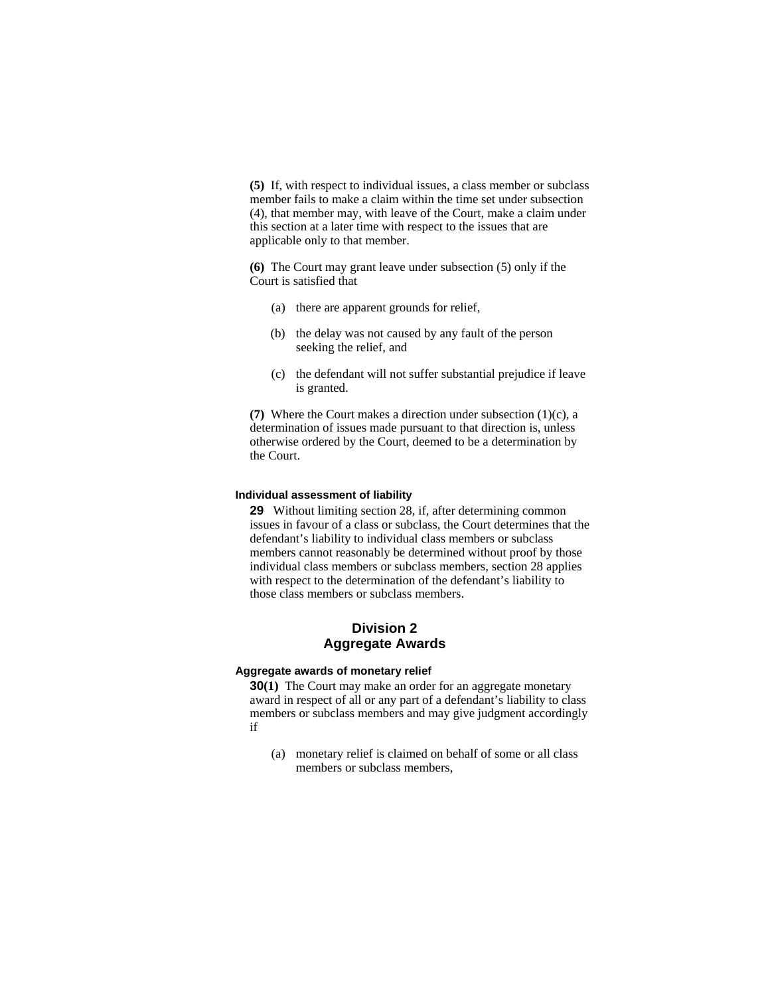**(5)** If, with respect to individual issues, a class member or subclass member fails to make a claim within the time set under subsection (4), that member may, with leave of the Court, make a claim under this section at a later time with respect to the issues that are applicable only to that member.

**(6)** The Court may grant leave under subsection (5) only if the Court is satisfied that

- (a) there are apparent grounds for relief,
- (b) the delay was not caused by any fault of the person seeking the relief, and
- (c) the defendant will not suffer substantial prejudice if leave is granted.

**(7)** Where the Court makes a direction under subsection (1)(c), a determination of issues made pursuant to that direction is, unless otherwise ordered by the Court, deemed to be a determination by the Court.

#### **Individual assessment of liability**

**29** Without limiting section 28, if, after determining common issues in favour of a class or subclass, the Court determines that the defendant's liability to individual class members or subclass members cannot reasonably be determined without proof by those individual class members or subclass members, section 28 applies with respect to the determination of the defendant's liability to those class members or subclass members.

## **Division 2 Aggregate Awards**

## **Aggregate awards of monetary relief**

**30(1)** The Court may make an order for an aggregate monetary award in respect of all or any part of a defendant's liability to class members or subclass members and may give judgment accordingly if

 (a) monetary relief is claimed on behalf of some or all class members or subclass members,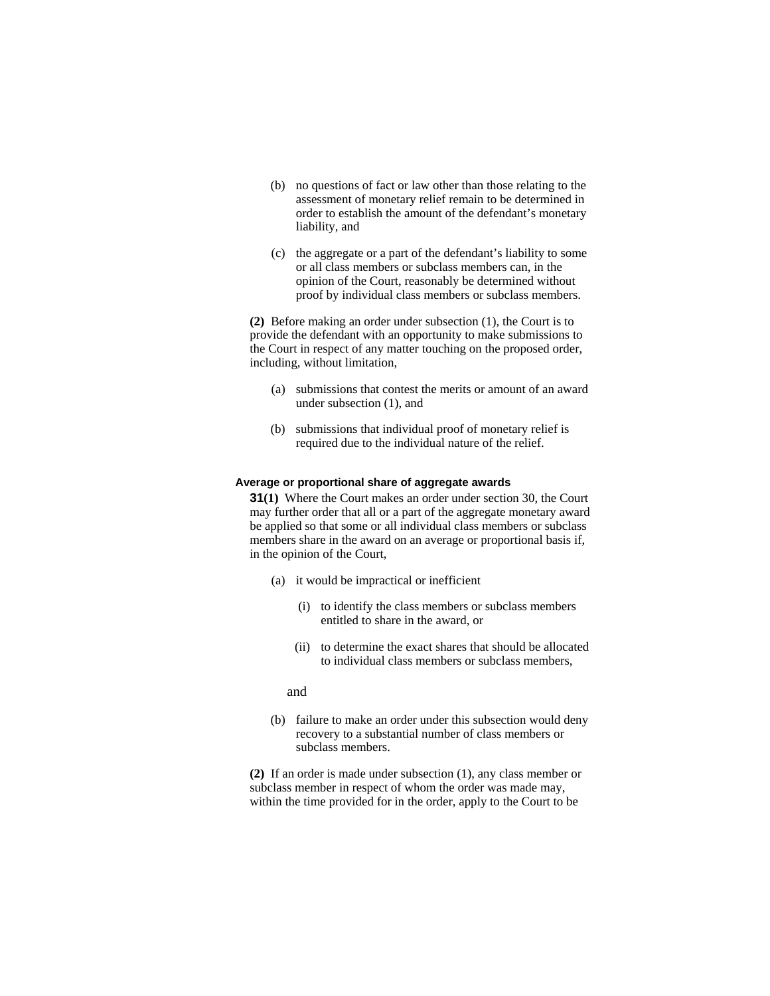- (b) no questions of fact or law other than those relating to the assessment of monetary relief remain to be determined in order to establish the amount of the defendant's monetary liability, and
- (c) the aggregate or a part of the defendant's liability to some or all class members or subclass members can, in the opinion of the Court, reasonably be determined without proof by individual class members or subclass members.

**(2)** Before making an order under subsection (1), the Court is to provide the defendant with an opportunity to make submissions to the Court in respect of any matter touching on the proposed order, including, without limitation,

- (a) submissions that contest the merits or amount of an award under subsection (1), and
- (b) submissions that individual proof of monetary relief is required due to the individual nature of the relief.

#### **Average or proportional share of aggregate awards**

**31(1)** Where the Court makes an order under section 30, the Court may further order that all or a part of the aggregate monetary award be applied so that some or all individual class members or subclass members share in the award on an average or proportional basis if, in the opinion of the Court,

- (a) it would be impractical or inefficient
	- (i) to identify the class members or subclass members entitled to share in the award, or
	- (ii) to determine the exact shares that should be allocated to individual class members or subclass members,

#### and

(b) failure to make an order under this subsection would deny recovery to a substantial number of class members or subclass members.

**(2)** If an order is made under subsection (1), any class member or subclass member in respect of whom the order was made may, within the time provided for in the order, apply to the Court to be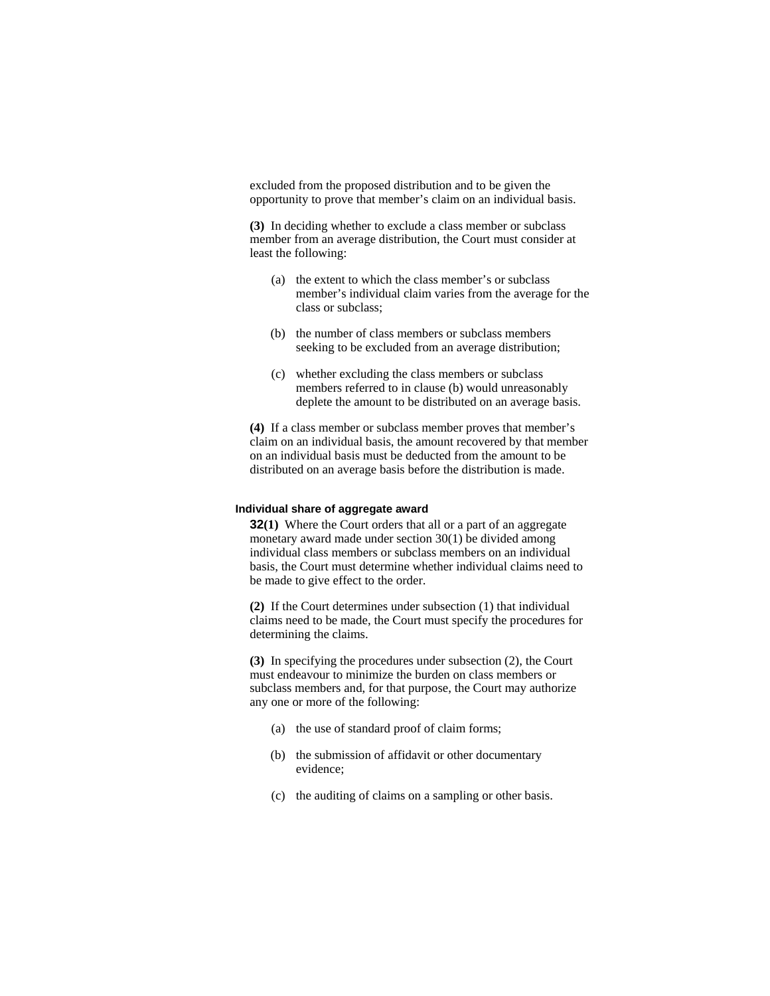excluded from the proposed distribution and to be given the opportunity to prove that member's claim on an individual basis.

**(3)** In deciding whether to exclude a class member or subclass member from an average distribution, the Court must consider at least the following:

- (a) the extent to which the class member's or subclass member's individual claim varies from the average for the class or subclass;
- (b) the number of class members or subclass members seeking to be excluded from an average distribution;
- (c) whether excluding the class members or subclass members referred to in clause (b) would unreasonably deplete the amount to be distributed on an average basis.

**(4)** If a class member or subclass member proves that member's claim on an individual basis, the amount recovered by that member on an individual basis must be deducted from the amount to be distributed on an average basis before the distribution is made.

#### **Individual share of aggregate award**

**32(1)** Where the Court orders that all or a part of an aggregate monetary award made under section 30(1) be divided among individual class members or subclass members on an individual basis, the Court must determine whether individual claims need to be made to give effect to the order.

**(2)** If the Court determines under subsection (1) that individual claims need to be made, the Court must specify the procedures for determining the claims.

**(3)** In specifying the procedures under subsection (2), the Court must endeavour to minimize the burden on class members or subclass members and, for that purpose, the Court may authorize any one or more of the following:

- (a) the use of standard proof of claim forms;
- (b) the submission of affidavit or other documentary evidence;
- (c) the auditing of claims on a sampling or other basis.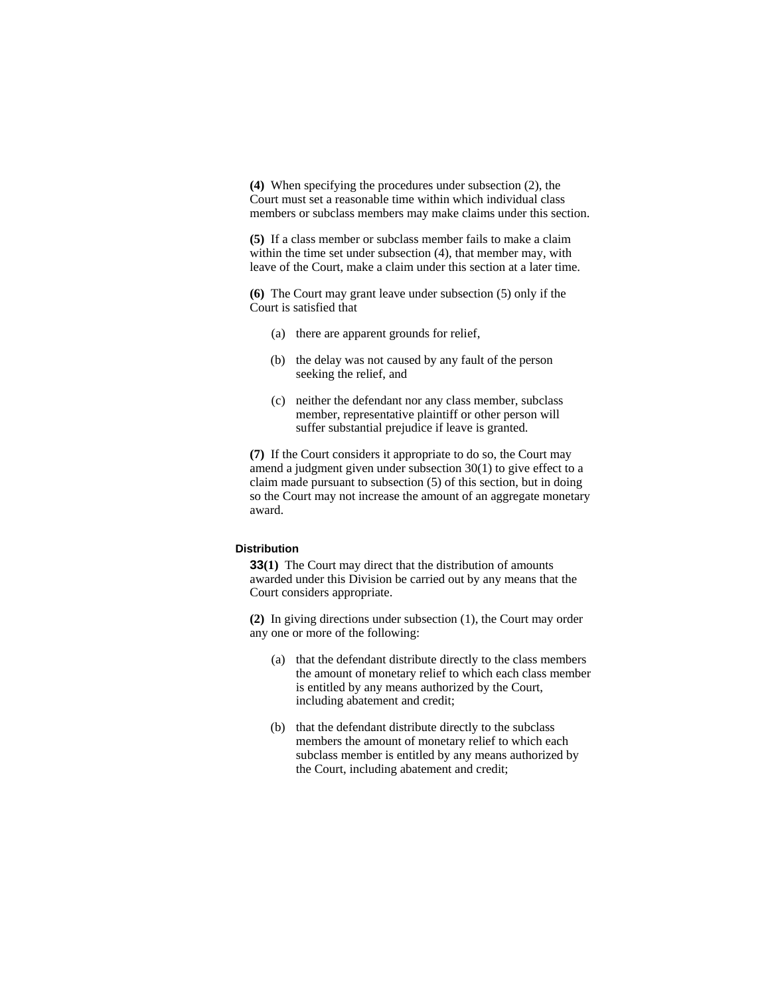**(4)** When specifying the procedures under subsection (2), the Court must set a reasonable time within which individual class members or subclass members may make claims under this section.

**(5)** If a class member or subclass member fails to make a claim within the time set under subsection (4), that member may, with leave of the Court, make a claim under this section at a later time.

**(6)** The Court may grant leave under subsection (5) only if the Court is satisfied that

- (a) there are apparent grounds for relief,
- (b) the delay was not caused by any fault of the person seeking the relief, and
- (c) neither the defendant nor any class member, subclass member, representative plaintiff or other person will suffer substantial prejudice if leave is granted.

**(7)** If the Court considers it appropriate to do so, the Court may amend a judgment given under subsection 30(1) to give effect to a claim made pursuant to subsection (5) of this section, but in doing so the Court may not increase the amount of an aggregate monetary award.

#### **Distribution**

**33(1)** The Court may direct that the distribution of amounts awarded under this Division be carried out by any means that the Court considers appropriate.

**(2)** In giving directions under subsection (1), the Court may order any one or more of the following:

- (a) that the defendant distribute directly to the class members the amount of monetary relief to which each class member is entitled by any means authorized by the Court, including abatement and credit;
- (b) that the defendant distribute directly to the subclass members the amount of monetary relief to which each subclass member is entitled by any means authorized by the Court, including abatement and credit;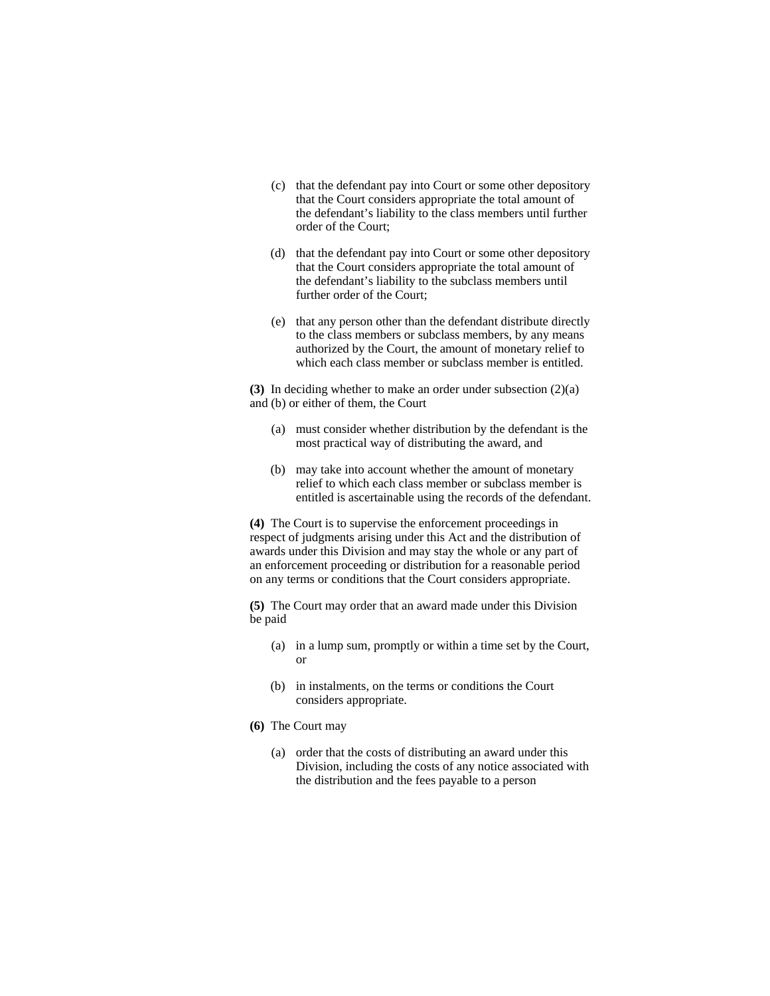- (c) that the defendant pay into Court or some other depository that the Court considers appropriate the total amount of the defendant's liability to the class members until further order of the Court;
- (d) that the defendant pay into Court or some other depository that the Court considers appropriate the total amount of the defendant's liability to the subclass members until further order of the Court;
- (e) that any person other than the defendant distribute directly to the class members or subclass members, by any means authorized by the Court, the amount of monetary relief to which each class member or subclass member is entitled.

**(3)** In deciding whether to make an order under subsection (2)(a) and (b) or either of them, the Court

- (a) must consider whether distribution by the defendant is the most practical way of distributing the award, and
- (b) may take into account whether the amount of monetary relief to which each class member or subclass member is entitled is ascertainable using the records of the defendant.

**(4)** The Court is to supervise the enforcement proceedings in respect of judgments arising under this Act and the distribution of awards under this Division and may stay the whole or any part of an enforcement proceeding or distribution for a reasonable period on any terms or conditions that the Court considers appropriate.

**(5)** The Court may order that an award made under this Division be paid

- (a) in a lump sum, promptly or within a time set by the Court, or
- (b) in instalments, on the terms or conditions the Court considers appropriate.
- **(6)** The Court may
	- (a) order that the costs of distributing an award under this Division, including the costs of any notice associated with the distribution and the fees payable to a person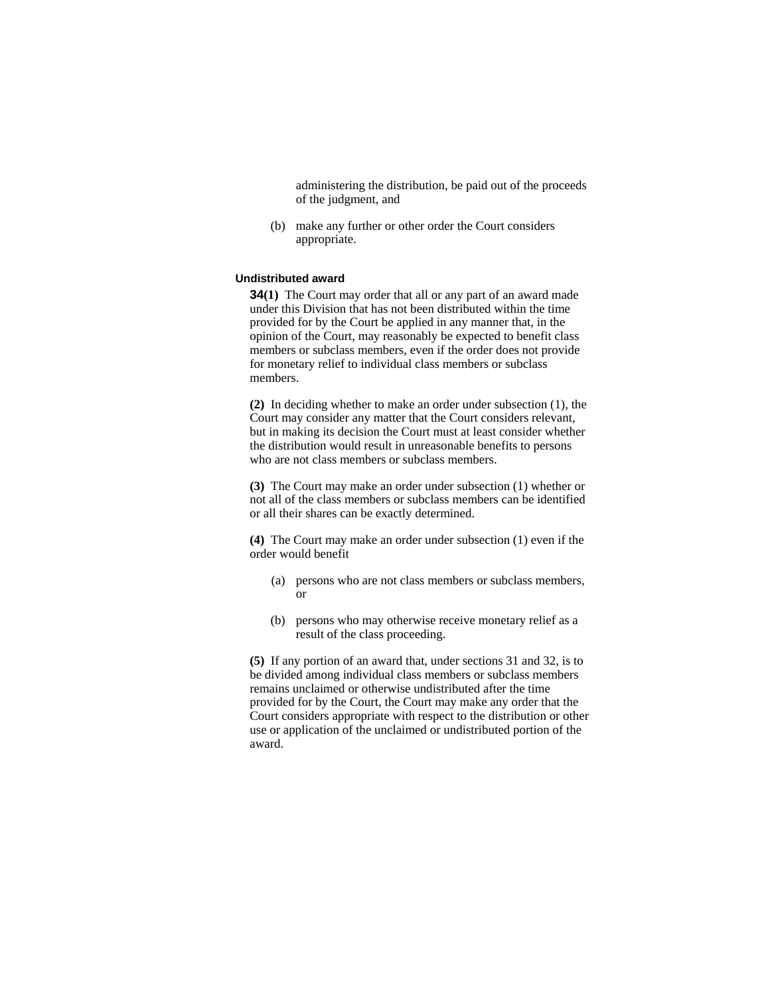administering the distribution, be paid out of the proceeds of the judgment, and

 (b) make any further or other order the Court considers appropriate.

## **Undistributed award**

**34(1)** The Court may order that all or any part of an award made under this Division that has not been distributed within the time provided for by the Court be applied in any manner that, in the opinion of the Court, may reasonably be expected to benefit class members or subclass members, even if the order does not provide for monetary relief to individual class members or subclass members.

**(2)** In deciding whether to make an order under subsection (1), the Court may consider any matter that the Court considers relevant, but in making its decision the Court must at least consider whether the distribution would result in unreasonable benefits to persons who are not class members or subclass members.

**(3)** The Court may make an order under subsection (1) whether or not all of the class members or subclass members can be identified or all their shares can be exactly determined.

**(4)** The Court may make an order under subsection (1) even if the order would benefit

- (a) persons who are not class members or subclass members, or
- (b) persons who may otherwise receive monetary relief as a result of the class proceeding.

**(5)** If any portion of an award that, under sections 31 and 32, is to be divided among individual class members or subclass members remains unclaimed or otherwise undistributed after the time provided for by the Court, the Court may make any order that the Court considers appropriate with respect to the distribution or other use or application of the unclaimed or undistributed portion of the award.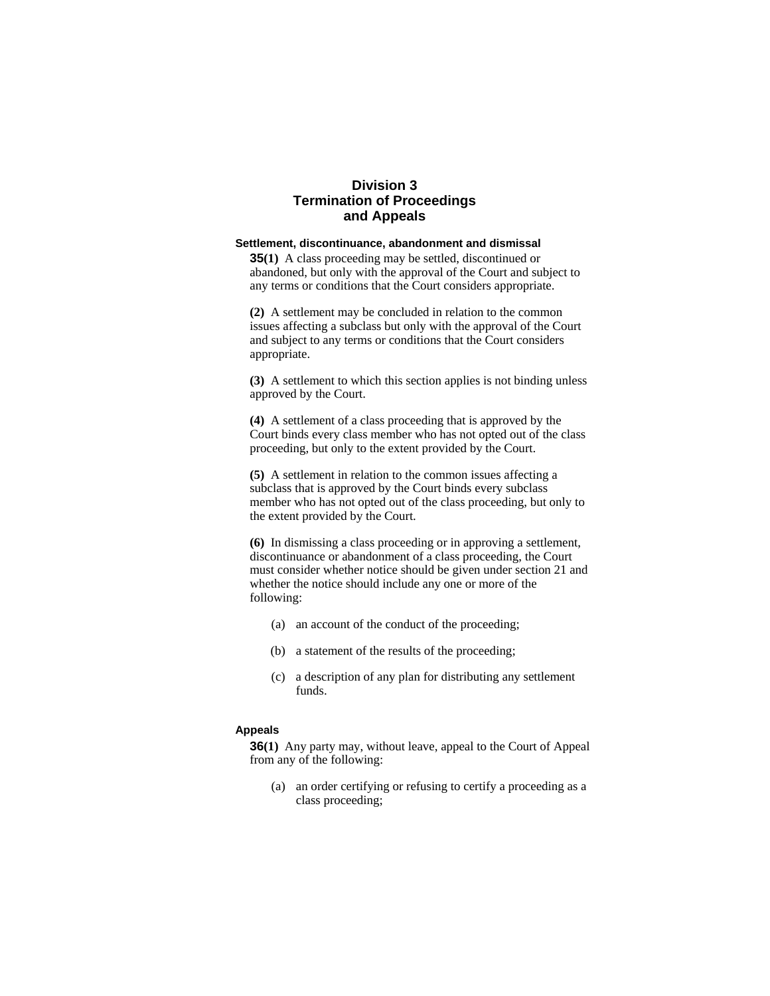## **Division 3 Termination of Proceedings and Appeals**

## **Settlement, discontinuance, abandonment and dismissal**

**35(1)** A class proceeding may be settled, discontinued or abandoned, but only with the approval of the Court and subject to any terms or conditions that the Court considers appropriate.

**(2)** A settlement may be concluded in relation to the common issues affecting a subclass but only with the approval of the Court and subject to any terms or conditions that the Court considers appropriate.

**(3)** A settlement to which this section applies is not binding unless approved by the Court.

**(4)** A settlement of a class proceeding that is approved by the Court binds every class member who has not opted out of the class proceeding, but only to the extent provided by the Court.

**(5)** A settlement in relation to the common issues affecting a subclass that is approved by the Court binds every subclass member who has not opted out of the class proceeding, but only to the extent provided by the Court.

**(6)** In dismissing a class proceeding or in approving a settlement, discontinuance or abandonment of a class proceeding, the Court must consider whether notice should be given under section 21 and whether the notice should include any one or more of the following:

- (a) an account of the conduct of the proceeding;
- (b) a statement of the results of the proceeding;
- (c) a description of any plan for distributing any settlement funds.

## **Appeals**

**36(1)** Any party may, without leave, appeal to the Court of Appeal from any of the following:

 (a) an order certifying or refusing to certify a proceeding as a class proceeding;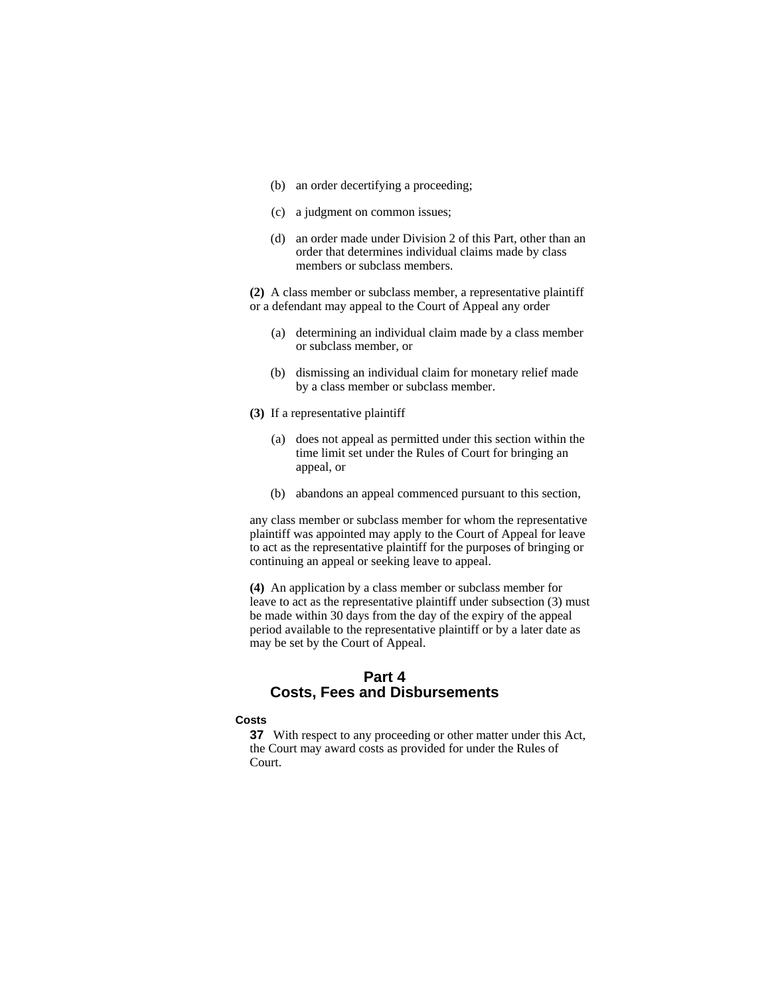- (b) an order decertifying a proceeding;
- (c) a judgment on common issues;
- (d) an order made under Division 2 of this Part, other than an order that determines individual claims made by class members or subclass members.

**(2)** A class member or subclass member, a representative plaintiff or a defendant may appeal to the Court of Appeal any order

- (a) determining an individual claim made by a class member or subclass member, or
- (b) dismissing an individual claim for monetary relief made by a class member or subclass member.
- **(3)** If a representative plaintiff
	- (a) does not appeal as permitted under this section within the time limit set under the Rules of Court for bringing an appeal, or
	- (b) abandons an appeal commenced pursuant to this section,

any class member or subclass member for whom the representative plaintiff was appointed may apply to the Court of Appeal for leave to act as the representative plaintiff for the purposes of bringing or continuing an appeal or seeking leave to appeal.

**(4)** An application by a class member or subclass member for leave to act as the representative plaintiff under subsection (3) must be made within 30 days from the day of the expiry of the appeal period available to the representative plaintiff or by a later date as may be set by the Court of Appeal.

## **Part 4 Costs, Fees and Disbursements**

## **Costs**

**37** With respect to any proceeding or other matter under this Act, the Court may award costs as provided for under the Rules of Court.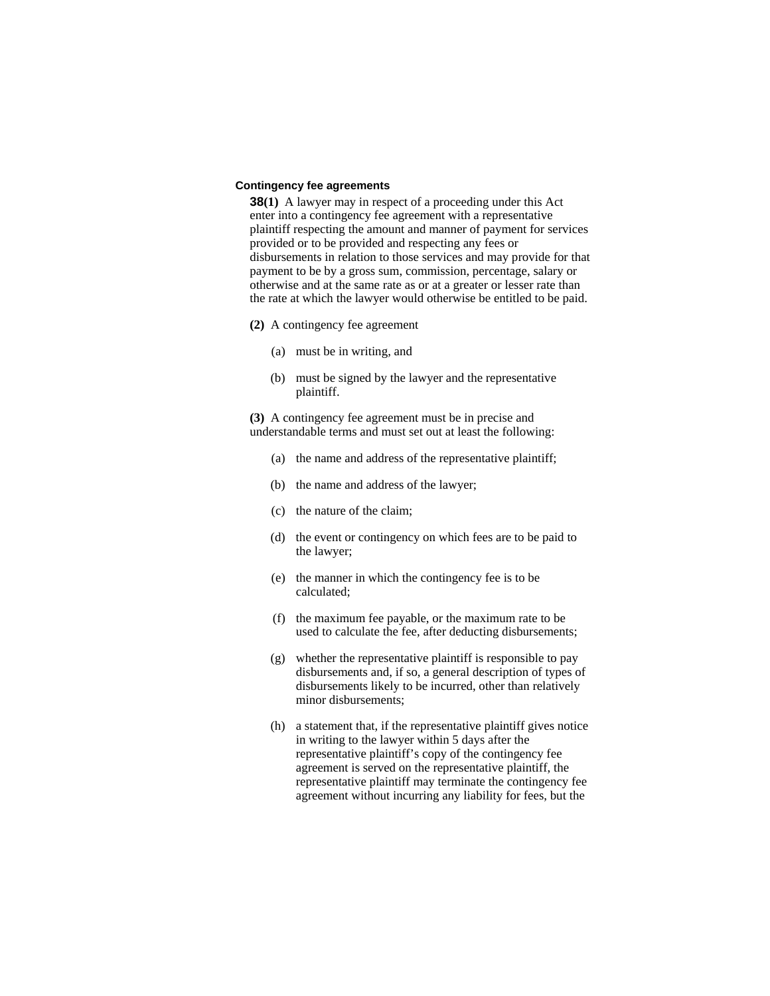## **Contingency fee agreements**

**38(1)** A lawyer may in respect of a proceeding under this Act enter into a contingency fee agreement with a representative plaintiff respecting the amount and manner of payment for services provided or to be provided and respecting any fees or disbursements in relation to those services and may provide for that payment to be by a gross sum, commission, percentage, salary or otherwise and at the same rate as or at a greater or lesser rate than the rate at which the lawyer would otherwise be entitled to be paid.

- **(2)** A contingency fee agreement
	- (a) must be in writing, and
	- (b) must be signed by the lawyer and the representative plaintiff.

**(3)** A contingency fee agreement must be in precise and understandable terms and must set out at least the following:

- (a) the name and address of the representative plaintiff;
- (b) the name and address of the lawyer;
- (c) the nature of the claim;
- (d) the event or contingency on which fees are to be paid to the lawyer;
- (e) the manner in which the contingency fee is to be calculated;
- (f) the maximum fee payable, or the maximum rate to be used to calculate the fee, after deducting disbursements;
- (g) whether the representative plaintiff is responsible to pay disbursements and, if so, a general description of types of disbursements likely to be incurred, other than relatively minor disbursements;
- (h) a statement that, if the representative plaintiff gives notice in writing to the lawyer within 5 days after the representative plaintiff's copy of the contingency fee agreement is served on the representative plaintiff, the representative plaintiff may terminate the contingency fee agreement without incurring any liability for fees, but the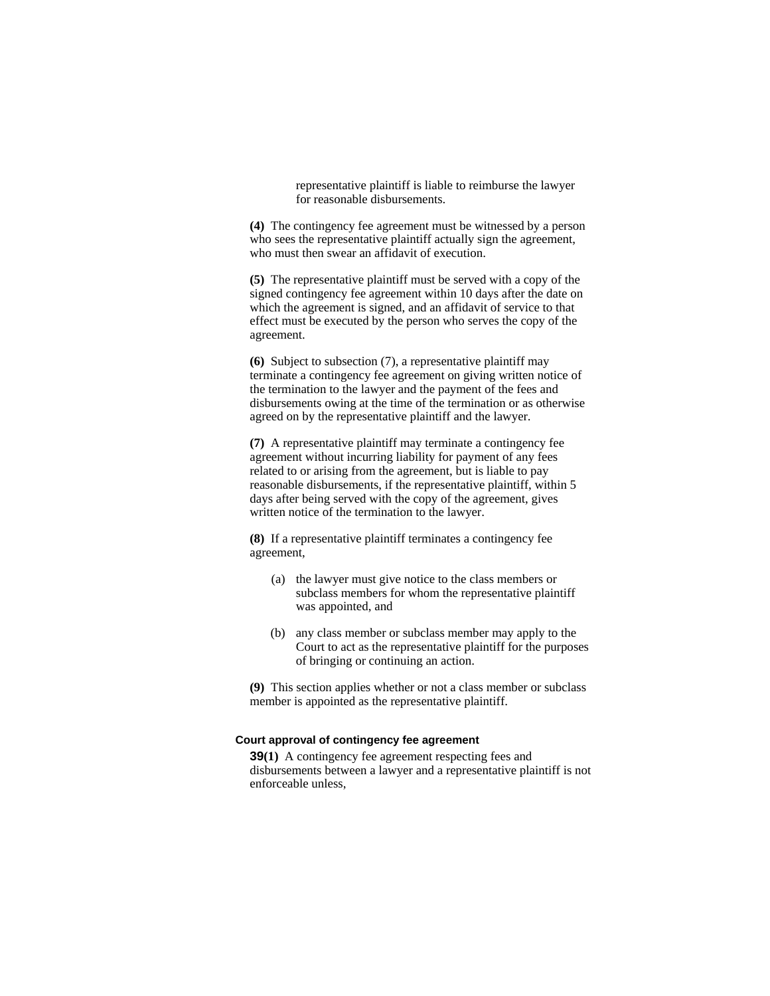representative plaintiff is liable to reimburse the lawyer for reasonable disbursements.

**(4)** The contingency fee agreement must be witnessed by a person who sees the representative plaintiff actually sign the agreement, who must then swear an affidavit of execution.

**(5)** The representative plaintiff must be served with a copy of the signed contingency fee agreement within 10 days after the date on which the agreement is signed, and an affidavit of service to that effect must be executed by the person who serves the copy of the agreement.

**(6)** Subject to subsection (7), a representative plaintiff may terminate a contingency fee agreement on giving written notice of the termination to the lawyer and the payment of the fees and disbursements owing at the time of the termination or as otherwise agreed on by the representative plaintiff and the lawyer.

**(7)** A representative plaintiff may terminate a contingency fee agreement without incurring liability for payment of any fees related to or arising from the agreement, but is liable to pay reasonable disbursements, if the representative plaintiff, within 5 days after being served with the copy of the agreement, gives written notice of the termination to the lawyer.

**(8)** If a representative plaintiff terminates a contingency fee agreement,

- (a) the lawyer must give notice to the class members or subclass members for whom the representative plaintiff was appointed, and
- (b) any class member or subclass member may apply to the Court to act as the representative plaintiff for the purposes of bringing or continuing an action.

**(9)** This section applies whether or not a class member or subclass member is appointed as the representative plaintiff.

## **Court approval of contingency fee agreement**

**39(1)** A contingency fee agreement respecting fees and disbursements between a lawyer and a representative plaintiff is not enforceable unless,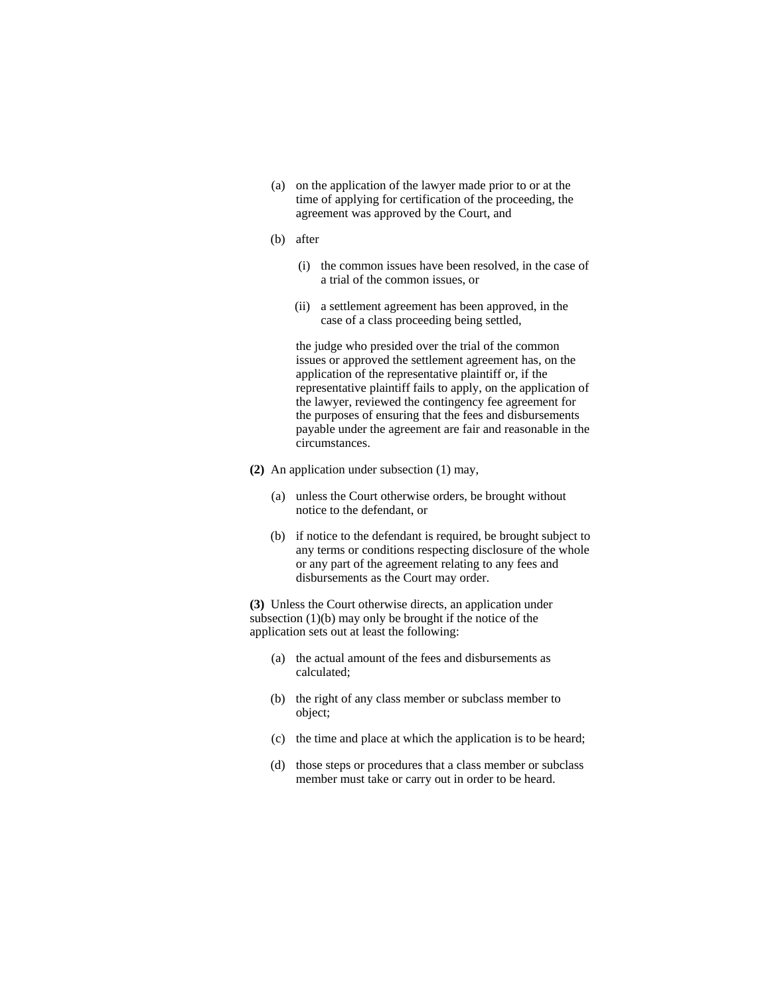- (a) on the application of the lawyer made prior to or at the time of applying for certification of the proceeding, the agreement was approved by the Court, and
- (b) after
	- (i) the common issues have been resolved, in the case of a trial of the common issues, or
	- (ii) a settlement agreement has been approved, in the case of a class proceeding being settled,

 the judge who presided over the trial of the common issues or approved the settlement agreement has, on the application of the representative plaintiff or, if the representative plaintiff fails to apply, on the application of the lawyer, reviewed the contingency fee agreement for the purposes of ensuring that the fees and disbursements payable under the agreement are fair and reasonable in the circumstances.

- **(2)** An application under subsection (1) may,
	- (a) unless the Court otherwise orders, be brought without notice to the defendant, or
	- (b) if notice to the defendant is required, be brought subject to any terms or conditions respecting disclosure of the whole or any part of the agreement relating to any fees and disbursements as the Court may order.

**(3)** Unless the Court otherwise directs, an application under subsection (1)(b) may only be brought if the notice of the application sets out at least the following:

- (a) the actual amount of the fees and disbursements as calculated;
- (b) the right of any class member or subclass member to object;
- (c) the time and place at which the application is to be heard;
- (d) those steps or procedures that a class member or subclass member must take or carry out in order to be heard.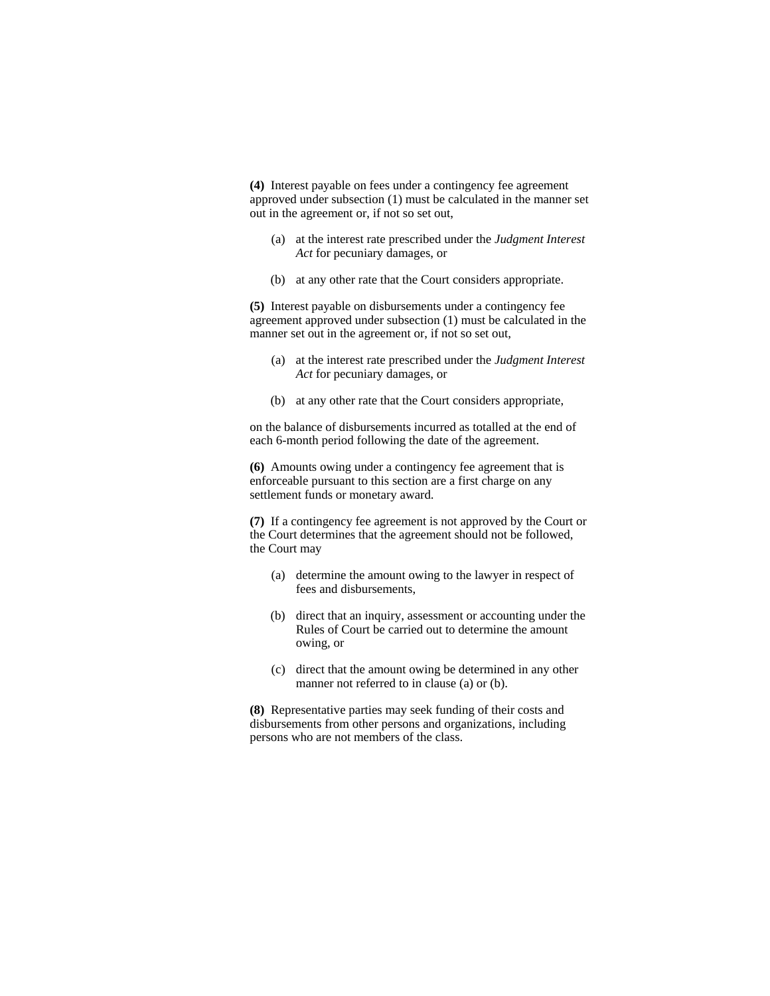**(4)** Interest payable on fees under a contingency fee agreement approved under subsection (1) must be calculated in the manner set out in the agreement or, if not so set out,

- (a) at the interest rate prescribed under the *Judgment Interest Act* for pecuniary damages, or
- (b) at any other rate that the Court considers appropriate.

**(5)** Interest payable on disbursements under a contingency fee agreement approved under subsection (1) must be calculated in the manner set out in the agreement or, if not so set out,

- (a) at the interest rate prescribed under the *Judgment Interest Act* for pecuniary damages, or
- (b) at any other rate that the Court considers appropriate,

on the balance of disbursements incurred as totalled at the end of each 6-month period following the date of the agreement.

**(6)** Amounts owing under a contingency fee agreement that is enforceable pursuant to this section are a first charge on any settlement funds or monetary award.

**(7)** If a contingency fee agreement is not approved by the Court or the Court determines that the agreement should not be followed, the Court may

- (a) determine the amount owing to the lawyer in respect of fees and disbursements,
- (b) direct that an inquiry, assessment or accounting under the Rules of Court be carried out to determine the amount owing, or
- (c) direct that the amount owing be determined in any other manner not referred to in clause (a) or (b).

**(8)** Representative parties may seek funding of their costs and disbursements from other persons and organizations, including persons who are not members of the class.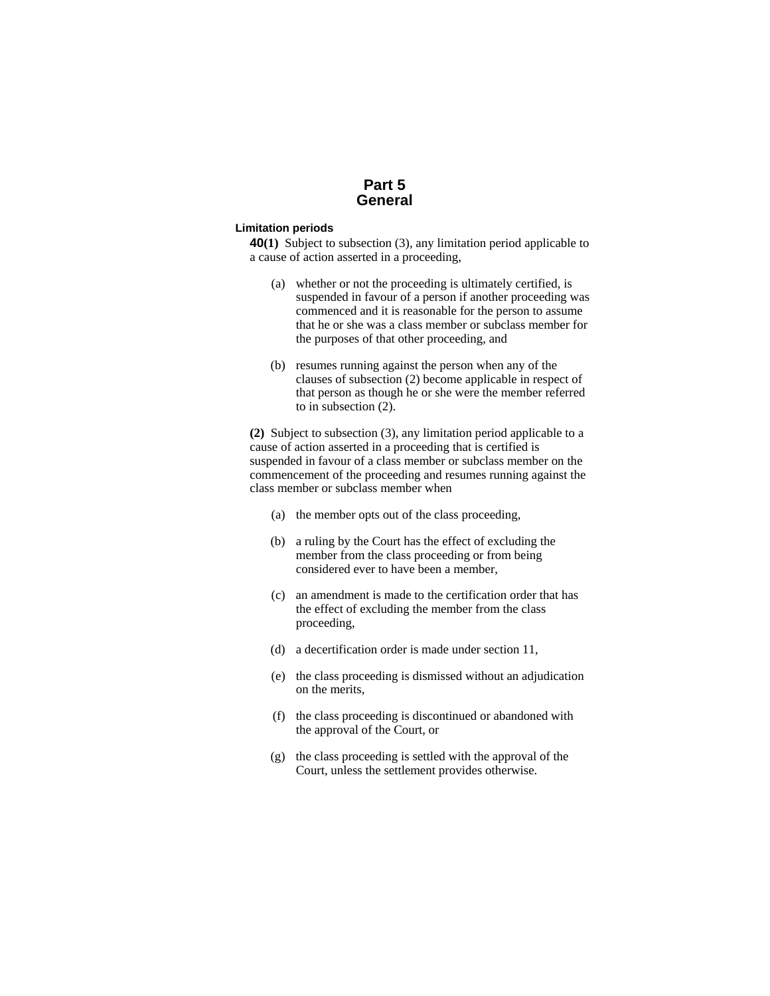## **Part 5 General**

## **Limitation periods**

**40(1)** Subject to subsection (3), any limitation period applicable to a cause of action asserted in a proceeding,

- (a) whether or not the proceeding is ultimately certified, is suspended in favour of a person if another proceeding was commenced and it is reasonable for the person to assume that he or she was a class member or subclass member for the purposes of that other proceeding, and
- (b) resumes running against the person when any of the clauses of subsection (2) become applicable in respect of that person as though he or she were the member referred to in subsection (2).

**(2)** Subject to subsection (3), any limitation period applicable to a cause of action asserted in a proceeding that is certified is suspended in favour of a class member or subclass member on the commencement of the proceeding and resumes running against the class member or subclass member when

- (a) the member opts out of the class proceeding,
- (b) a ruling by the Court has the effect of excluding the member from the class proceeding or from being considered ever to have been a member,
- (c) an amendment is made to the certification order that has the effect of excluding the member from the class proceeding,
- (d) a decertification order is made under section 11,
- (e) the class proceeding is dismissed without an adjudication on the merits,
- (f) the class proceeding is discontinued or abandoned with the approval of the Court, or
- (g) the class proceeding is settled with the approval of the Court, unless the settlement provides otherwise.